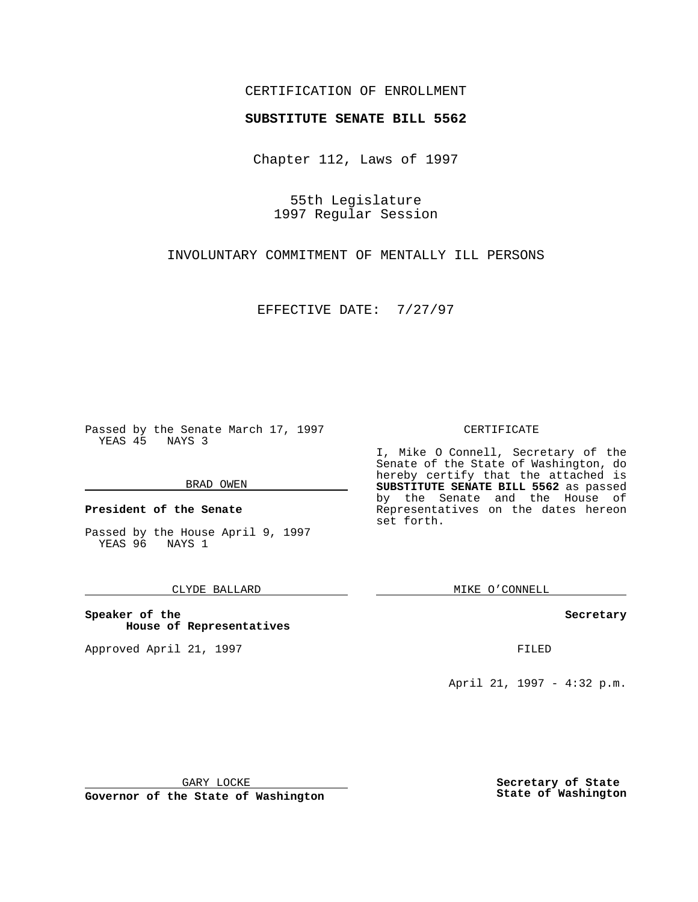### CERTIFICATION OF ENROLLMENT

# **SUBSTITUTE SENATE BILL 5562**

Chapter 112, Laws of 1997

55th Legislature 1997 Regular Session

INVOLUNTARY COMMITMENT OF MENTALLY ILL PERSONS

EFFECTIVE DATE: 7/27/97

Passed by the Senate March 17, 1997 YEAS 45 NAYS 3

#### BRAD OWEN

**President of the Senate**

Passed by the House April 9, 1997 YEAS 96 NAYS 1

### CLYDE BALLARD

**Speaker of the House of Representatives**

Approved April 21, 1997 **FILED** 

#### CERTIFICATE

I, Mike O Connell, Secretary of the Senate of the State of Washington, do hereby certify that the attached is **SUBSTITUTE SENATE BILL 5562** as passed by the Senate and the House of Representatives on the dates hereon set forth.

MIKE O'CONNELL

#### **Secretary**

April 21, 1997 - 4:32 p.m.

GARY LOCKE

**Governor of the State of Washington**

**Secretary of State State of Washington**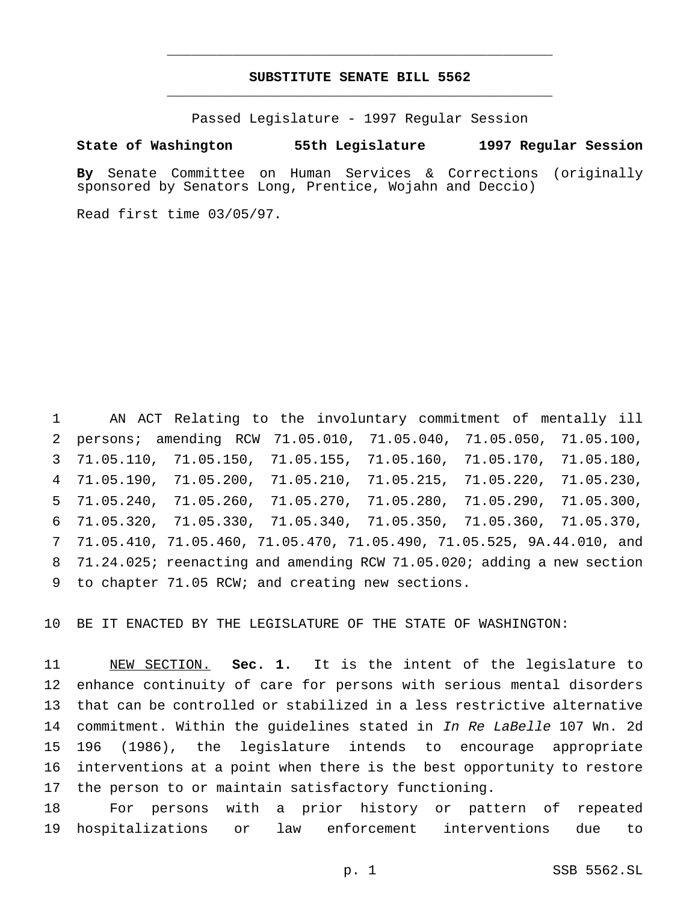## **SUBSTITUTE SENATE BILL 5562** \_\_\_\_\_\_\_\_\_\_\_\_\_\_\_\_\_\_\_\_\_\_\_\_\_\_\_\_\_\_\_\_\_\_\_\_\_\_\_\_\_\_\_\_\_\_\_

\_\_\_\_\_\_\_\_\_\_\_\_\_\_\_\_\_\_\_\_\_\_\_\_\_\_\_\_\_\_\_\_\_\_\_\_\_\_\_\_\_\_\_\_\_\_\_

Passed Legislature - 1997 Regular Session

#### **State of Washington 55th Legislature 1997 Regular Session**

**By** Senate Committee on Human Services & Corrections (originally sponsored by Senators Long, Prentice, Wojahn and Deccio)

Read first time 03/05/97.

 AN ACT Relating to the involuntary commitment of mentally ill persons; amending RCW 71.05.010, 71.05.040, 71.05.050, 71.05.100, 71.05.110, 71.05.150, 71.05.155, 71.05.160, 71.05.170, 71.05.180, 71.05.190, 71.05.200, 71.05.210, 71.05.215, 71.05.220, 71.05.230, 71.05.240, 71.05.260, 71.05.270, 71.05.280, 71.05.290, 71.05.300, 71.05.320, 71.05.330, 71.05.340, 71.05.350, 71.05.360, 71.05.370, 71.05.410, 71.05.460, 71.05.470, 71.05.490, 71.05.525, 9A.44.010, and 71.24.025; reenacting and amending RCW 71.05.020; adding a new section to chapter 71.05 RCW; and creating new sections.

BE IT ENACTED BY THE LEGISLATURE OF THE STATE OF WASHINGTON:

 NEW SECTION. **Sec. 1.** It is the intent of the legislature to enhance continuity of care for persons with serious mental disorders that can be controlled or stabilized in a less restrictive alternative 14 commitment. Within the guidelines stated in In Re LaBelle 107 Wn. 2d 196 (1986), the legislature intends to encourage appropriate interventions at a point when there is the best opportunity to restore the person to or maintain satisfactory functioning.

 For persons with a prior history or pattern of repeated hospitalizations or law enforcement interventions due to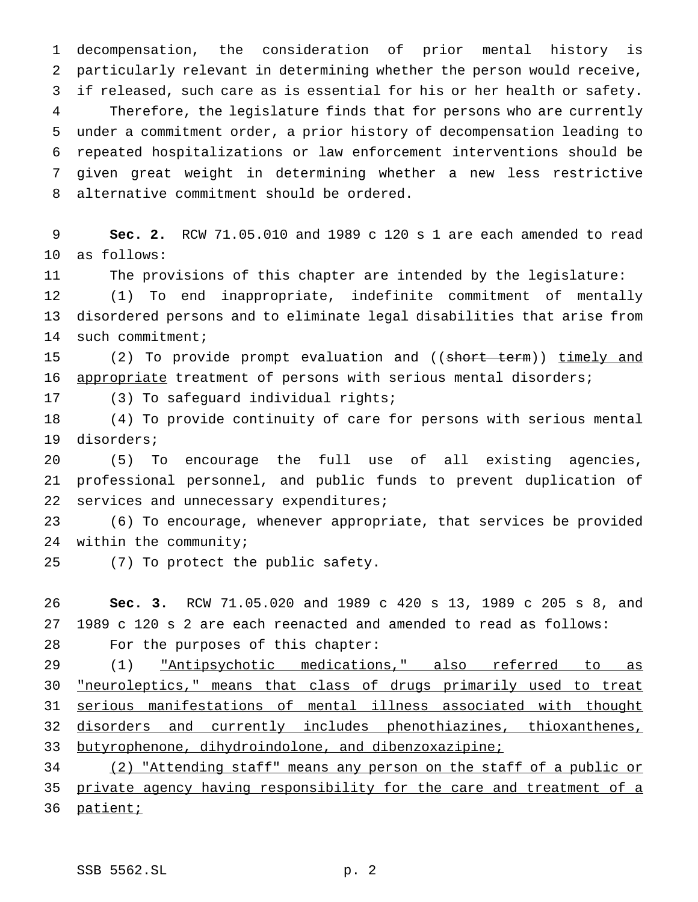decompensation, the consideration of prior mental history is particularly relevant in determining whether the person would receive, if released, such care as is essential for his or her health or safety. Therefore, the legislature finds that for persons who are currently under a commitment order, a prior history of decompensation leading to repeated hospitalizations or law enforcement interventions should be given great weight in determining whether a new less restrictive alternative commitment should be ordered.

 **Sec. 2.** RCW 71.05.010 and 1989 c 120 s 1 are each amended to read as follows:

The provisions of this chapter are intended by the legislature:

 (1) To end inappropriate, indefinite commitment of mentally disordered persons and to eliminate legal disabilities that arise from 14 such commitment;

15 (2) To provide prompt evaluation and ((short term)) timely and appropriate treatment of persons with serious mental disorders;

(3) To safeguard individual rights;

 (4) To provide continuity of care for persons with serious mental disorders;

 (5) To encourage the full use of all existing agencies, professional personnel, and public funds to prevent duplication of 22 services and unnecessary expenditures;

 (6) To encourage, whenever appropriate, that services be provided within the community;

(7) To protect the public safety.

 **Sec. 3.** RCW 71.05.020 and 1989 c 420 s 13, 1989 c 205 s 8, and 1989 c 120 s 2 are each reenacted and amended to read as follows: For the purposes of this chapter:

29 (1) Thatipsychotic medications, also referred to as "neuroleptics," means that class of drugs primarily used to treat serious manifestations of mental illness associated with thought disorders and currently includes phenothiazines, thioxanthenes, butyrophenone, dihydroindolone, and dibenzoxazipine;

 (2) "Attending staff" means any person on the staff of a public or 35 private agency having responsibility for the care and treatment of a 36 patient;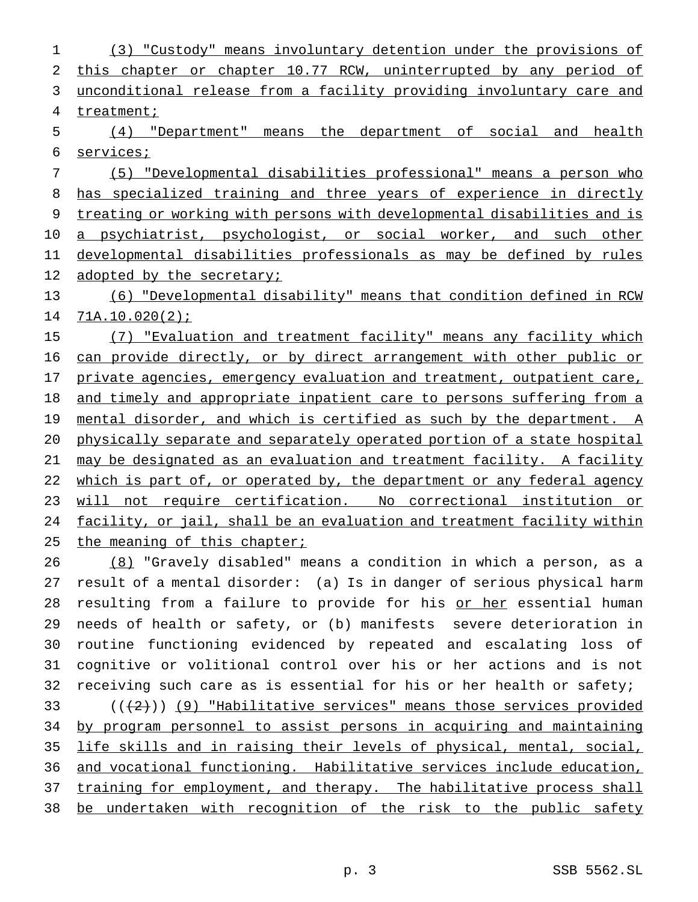(3) "Custody" means involuntary detention under the provisions of this chapter or chapter 10.77 RCW, uninterrupted by any period of unconditional release from a facility providing involuntary care and treatment; (4) "Department" means the department of social and health services; (5) "Developmental disabilities professional" means a person who 8 has specialized training and three years of experience in directly treating or working with persons with developmental disabilities and is 10 a psychiatrist, psychologist, or social worker, and such other developmental disabilities professionals as may be defined by rules

12 adopted by the secretary;

 (6) "Developmental disability" means that condition defined in RCW 71A.10.020(2);

 (7) "Evaluation and treatment facility" means any facility which can provide directly, or by direct arrangement with other public or 17 private agencies, emergency evaluation and treatment, outpatient care, and timely and appropriate inpatient care to persons suffering from a 19 mental disorder, and which is certified as such by the department. A physically separate and separately operated portion of a state hospital may be designated as an evaluation and treatment facility. A facility 22 which is part of, or operated by, the department or any federal agency will not require certification. No correctional institution or facility, or jail, shall be an evaluation and treatment facility within 25 the meaning of this chapter;

 (8) "Gravely disabled" means a condition in which a person, as a result of a mental disorder: (a) Is in danger of serious physical harm 28 resulting from a failure to provide for his or her essential human needs of health or safety, or (b) manifests severe deterioration in routine functioning evidenced by repeated and escalating loss of cognitive or volitional control over his or her actions and is not receiving such care as is essential for his or her health or safety;  $((+2))$  (9) "Habilitative services" means those services provided by program personnel to assist persons in acquiring and maintaining life skills and in raising their levels of physical, mental, social, and vocational functioning. Habilitative services include education, 37 training for employment, and therapy. The habilitative process shall be undertaken with recognition of the risk to the public safety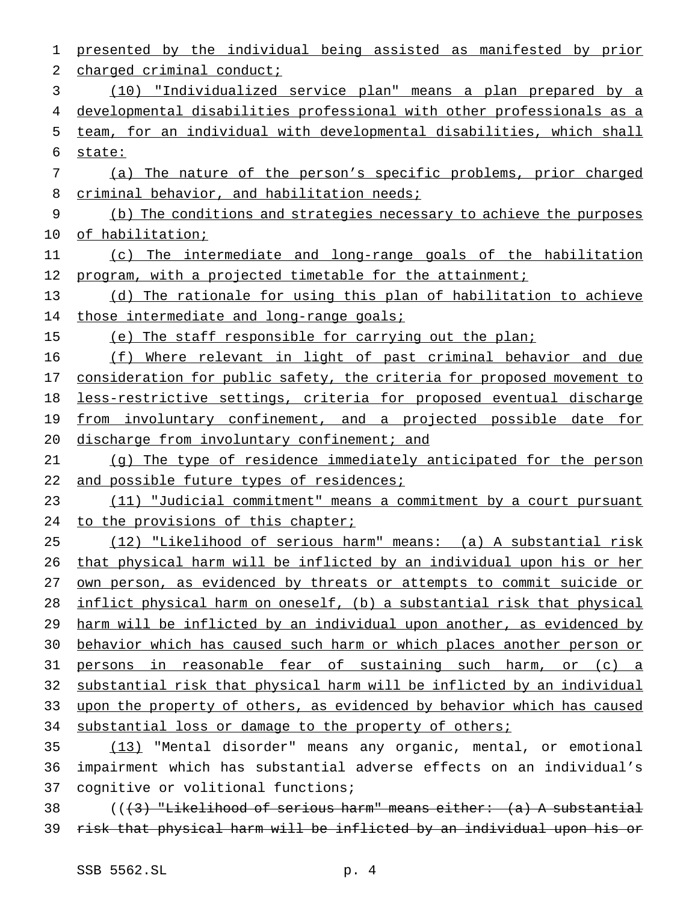presented by the individual being assisted as manifested by prior 2 charged criminal conduct; (10) "Individualized service plan" means a plan prepared by a developmental disabilities professional with other professionals as a team, for an individual with developmental disabilities, which shall state: (a) The nature of the person's specific problems, prior charged 8 criminal behavior, and habilitation needs; (b) The conditions and strategies necessary to achieve the purposes of habilitation; (c) The intermediate and long-range goals of the habilitation 12 program, with a projected timetable for the attainment; (d) The rationale for using this plan of habilitation to achieve 14 those intermediate and long-range goals; (e) The staff responsible for carrying out the plan; (f) Where relevant in light of past criminal behavior and due consideration for public safety, the criteria for proposed movement to less-restrictive settings, criteria for proposed eventual discharge 19 from involuntary confinement, and a projected possible date for 20 discharge from involuntary confinement; and (g) The type of residence immediately anticipated for the person 22 and possible future types of residences; (11) "Judicial commitment" means a commitment by a court pursuant 24 to the provisions of this chapter; (12) "Likelihood of serious harm" means: (a) A substantial risk that physical harm will be inflicted by an individual upon his or her own person, as evidenced by threats or attempts to commit suicide or inflict physical harm on oneself, (b) a substantial risk that physical 29 harm will be inflicted by an individual upon another, as evidenced by behavior which has caused such harm or which places another person or persons in reasonable fear of sustaining such harm, or (c) a substantial risk that physical harm will be inflicted by an individual upon the property of others, as evidenced by behavior which has caused 34 substantial loss or damage to the property of others; (13) "Mental disorder" means any organic, mental, or emotional impairment which has substantial adverse effects on an individual's cognitive or volitional functions;  $($   $($   $($   $\frac{1}{3}$   $)$  "Likelihood of serious harm" means either:  $($ a $)$  A substantial risk that physical harm will be inflicted by an individual upon his or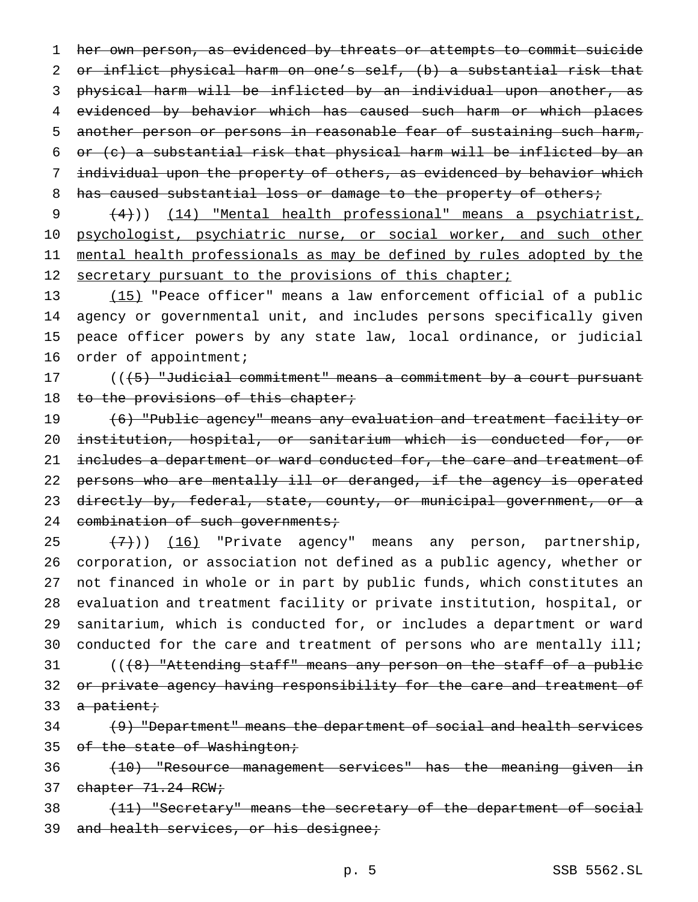her own person, as evidenced by threats or attempts to commit suicide or inflict physical harm on one's self, (b) a substantial risk that physical harm will be inflicted by an individual upon another, as evidenced by behavior which has caused such harm or which places another person or persons in reasonable fear of sustaining such harm, or (c) a substantial risk that physical harm will be inflicted by an 7 individual upon the property of others, as evidenced by behavior which 8 has caused substantial loss or damage to the property of others;

9 (4))) (14) "Mental health professional" means a psychiatrist, 10 psychologist, psychiatric nurse, or social worker, and such other 11 mental health professionals as may be defined by rules adopted by the 12 secretary pursuant to the provisions of this chapter;

 (15) "Peace officer" means a law enforcement official of a public agency or governmental unit, and includes persons specifically given peace officer powers by any state law, local ordinance, or judicial 16 order of appointment;

17 ((<del>(5) "Judicial commitment" means a commitment by a court pursuant</del> 18 to the provisions of this chapter;

19 (6) "Public agency" means any evaluation and treatment facility or 20 institution, hospital, or sanitarium which is conducted for, or 21 includes a department or ward conducted for, the care and treatment of 22 persons who are mentally ill or deranged, if the agency is operated 23 directly by, federal, state, county, or municipal government, or a 24 combination of such governments;

 $(7)$ )) (16) "Private agency" means any person, partnership, corporation, or association not defined as a public agency, whether or not financed in whole or in part by public funds, which constitutes an evaluation and treatment facility or private institution, hospital, or sanitarium, which is conducted for, or includes a department or ward 30 conducted for the care and treatment of persons who are mentally ill; 31 (((8) "Attending staff" means any person on the staff of a public 32 or private agency having responsibility for the care and treatment of  $a$  patient;

34 (9) "Department" means the department of social and health services 35 of the state of Washington;

36 (10) "Resource management services" has the meaning given in 37 chapter 71.24 RCW;

38 (11) "Secretary" means the secretary of the department of social 39 and health services, or his designee;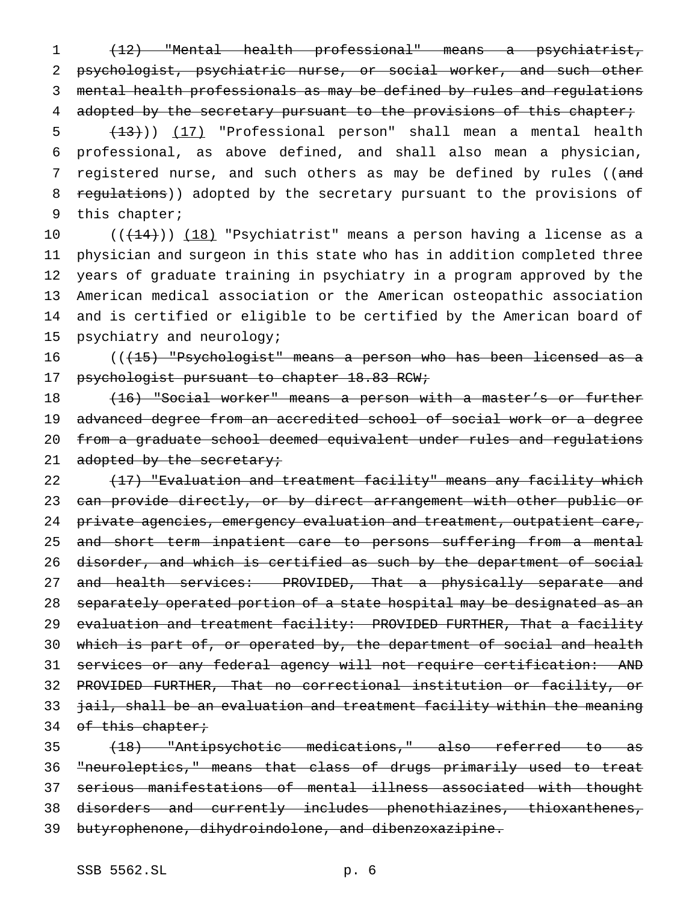(12) "Mental health professional" means a psychiatrist, psychologist, psychiatric nurse, or social worker, and such other mental health professionals as may be defined by rules and regulations 4 adopted by the secretary pursuant to the provisions of this chapter;

 (13))) (17) "Professional person" shall mean a mental health professional, as above defined, and shall also mean a physician, 7 registered nurse, and such others as may be defined by rules ((and 8 regulations)) adopted by the secretary pursuant to the provisions of this chapter;

 $((+14))$   $(18)$  "Psychiatrist" means a person having a license as a physician and surgeon in this state who has in addition completed three years of graduate training in psychiatry in a program approved by the American medical association or the American osteopathic association and is certified or eligible to be certified by the American board of psychiatry and neurology;

 $((15)$  "Psychologist" means a person who has been licensed as a 17 psychologist pursuant to chapter 18.83 RCW;

18 (16) "Social worker" means a person with a master's or further advanced degree from an accredited school of social work or a degree from a graduate school deemed equivalent under rules and regulations 21 adopted by the secretary;

22 (17) "Evaluation and treatment facility" means any facility which 23 can provide directly, or by direct arrangement with other public or 24 private agencies, emergency evaluation and treatment, outpatient care, 25 and short term inpatient care to persons suffering from a mental disorder, and which is certified as such by the department of social 27 and health services: PROVIDED, That a physically separate and separately operated portion of a state hospital may be designated as an 29 e<del>valuation and treatment facility: PROVIDED FURTHER, That a facility</del> which is part of, or operated by, the department of social and health services or any federal agency will not require certification: AND PROVIDED FURTHER, That no correctional institution or facility, or jail, shall be an evaluation and treatment facility within the meaning 34 of this chapter;

 (18) "Antipsychotic medications," also referred to as "neuroleptics," means that class of drugs primarily used to treat serious manifestations of mental illness associated with thought disorders and currently includes phenothiazines, thioxanthenes, butyrophenone, dihydroindolone, and dibenzoxazipine.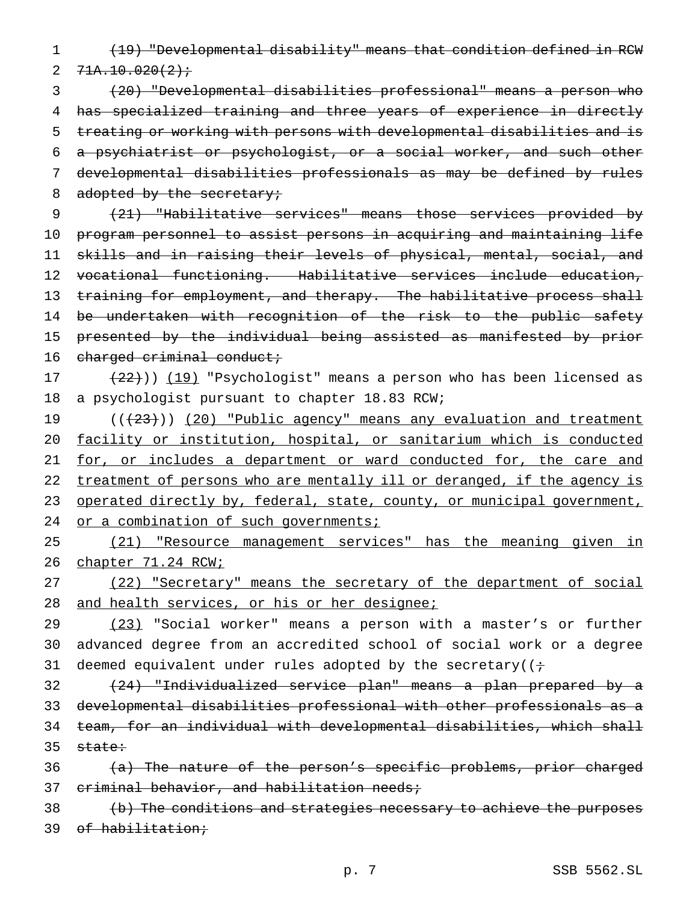1 (19) "Developmental disability" means that condition defined in RCW 2  $71A.10.020(2)$ 

 (20) "Developmental disabilities professional" means a person who 4 has specialized training and three years of experience in directly treating or working with persons with developmental disabilities and is a psychiatrist or psychologist, or a social worker, and such other developmental disabilities professionals as may be defined by rules 8 adopted by the secretary;

 (21) "Habilitative services" means those services provided by program personnel to assist persons in acquiring and maintaining life skills and in raising their levels of physical, mental, social, and vocational functioning. Habilitative services include education, 13 training for employment, and therapy. The habilitative process shall 14 be undertaken with recognition of the risk to the public safety presented by the individual being assisted as manifested by prior 16 charged criminal conduct;

17 (22))) (19) "Psychologist" means a person who has been licensed as 18 a psychologist pursuant to chapter 18.83 RCW;

19 (( $(23)$ )) (20) "Public agency" means any evaluation and treatment 20 facility or institution, hospital, or sanitarium which is conducted 21 for, or includes a department or ward conducted for, the care and 22 treatment of persons who are mentally ill or deranged, if the agency is 23 operated directly by, federal, state, county, or municipal government, 24 or a combination of such governments;

25 (21) "Resource management services" has the meaning given in 26 chapter 71.24 RCW;

27 (22) "Secretary" means the secretary of the department of social 28 and health services, or his or her designee;

29 (23) "Social worker" means a person with a master's or further 30 advanced degree from an accredited school of social work or a degree 31 deemed equivalent under rules adopted by the secretary( $(i \div j)$ 

 (24) "Individualized service plan" means a plan prepared by a developmental disabilities professional with other professionals as a team, for an individual with developmental disabilities, which shall  $35$  state:

36 (a) The nature of the person's specific problems, prior charged 37 criminal behavior, and habilitation needs;

38 (b) The conditions and strategies necessary to achieve the purposes 39 of habilitation;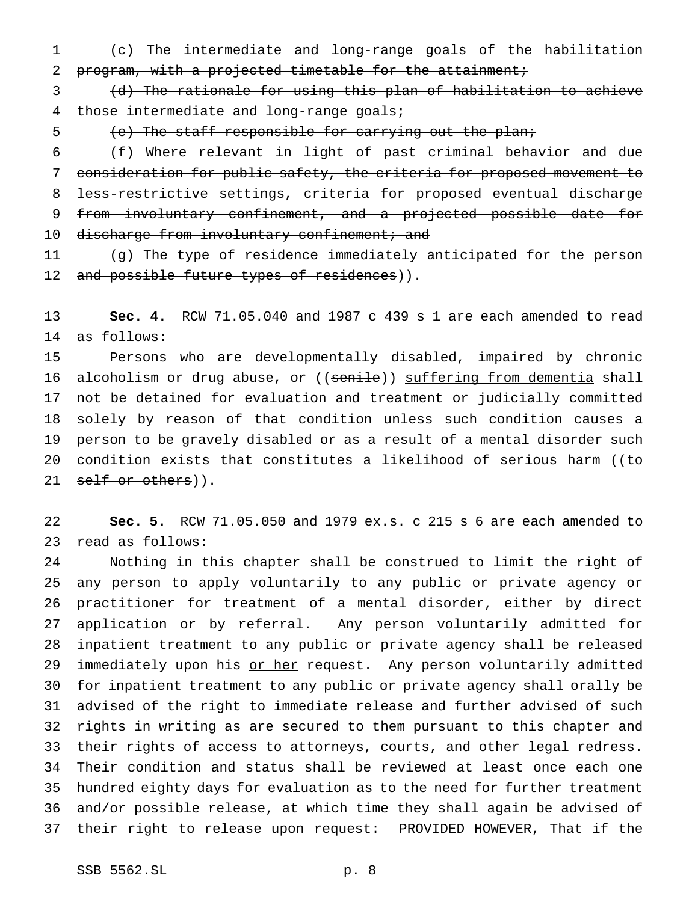(c) The intermediate and long-range goals of the habilitation program, with a projected timetable for the attainment;

 (d) The rationale for using this plan of habilitation to achieve 4 those intermediate and long-range goals;

(e) The staff responsible for carrying out the plan;

 (f) Where relevant in light of past criminal behavior and due consideration for public safety, the criteria for proposed movement to less-restrictive settings, criteria for proposed eventual discharge from involuntary confinement, and a projected possible date for 10 discharge from involuntary confinement; and

11 (g) The type of residence immediately anticipated for the person 12 and possible future types of residences)).

 **Sec. 4.** RCW 71.05.040 and 1987 c 439 s 1 are each amended to read as follows:

 Persons who are developmentally disabled, impaired by chronic 16 alcoholism or drug abuse, or ((senile)) suffering from dementia shall not be detained for evaluation and treatment or judicially committed solely by reason of that condition unless such condition causes a person to be gravely disabled or as a result of a mental disorder such 20 condition exists that constitutes a likelihood of serious harm ( $\epsilon$ 21 self or others)).

 **Sec. 5.** RCW 71.05.050 and 1979 ex.s. c 215 s 6 are each amended to read as follows:

 Nothing in this chapter shall be construed to limit the right of any person to apply voluntarily to any public or private agency or practitioner for treatment of a mental disorder, either by direct application or by referral. Any person voluntarily admitted for inpatient treatment to any public or private agency shall be released 29 immediately upon his or her request. Any person voluntarily admitted for inpatient treatment to any public or private agency shall orally be advised of the right to immediate release and further advised of such rights in writing as are secured to them pursuant to this chapter and their rights of access to attorneys, courts, and other legal redress. Their condition and status shall be reviewed at least once each one hundred eighty days for evaluation as to the need for further treatment and/or possible release, at which time they shall again be advised of their right to release upon request: PROVIDED HOWEVER, That if the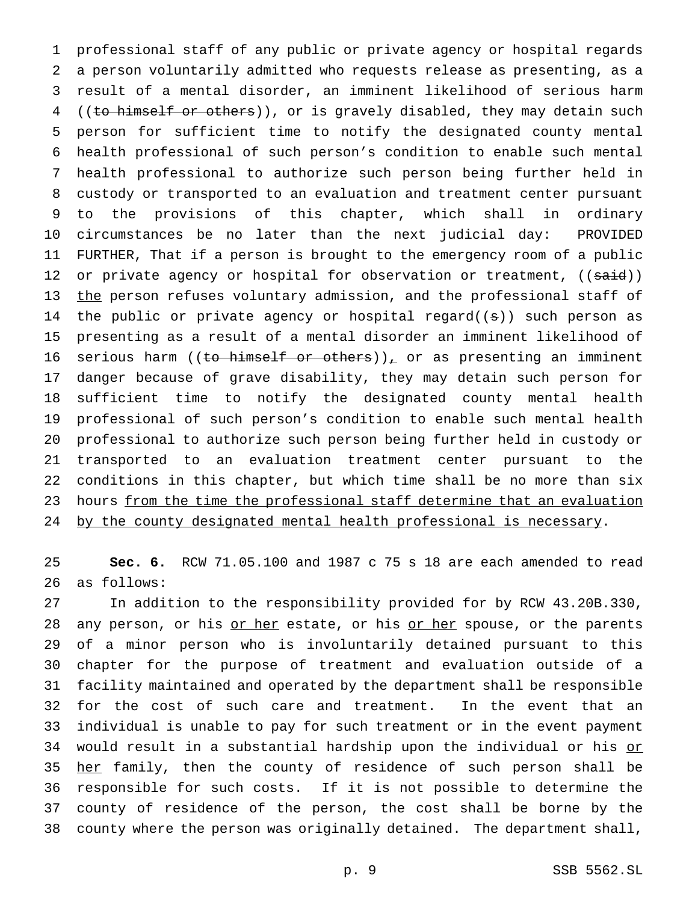professional staff of any public or private agency or hospital regards a person voluntarily admitted who requests release as presenting, as a result of a mental disorder, an imminent likelihood of serious harm 4 ((to himself or others)), or is gravely disabled, they may detain such person for sufficient time to notify the designated county mental health professional of such person's condition to enable such mental health professional to authorize such person being further held in custody or transported to an evaluation and treatment center pursuant to the provisions of this chapter, which shall in ordinary circumstances be no later than the next judicial day: PROVIDED FURTHER, That if a person is brought to the emergency room of a public 12 or private agency or hospital for observation or treatment, ((said)) 13 the person refuses voluntary admission, and the professional staff of 14 the public or private agency or hospital regard( $(s)$ ) such person as presenting as a result of a mental disorder an imminent likelihood of 16 serious harm ((to himself or others)), or as presenting an imminent danger because of grave disability, they may detain such person for sufficient time to notify the designated county mental health professional of such person's condition to enable such mental health professional to authorize such person being further held in custody or transported to an evaluation treatment center pursuant to the conditions in this chapter, but which time shall be no more than six 23 hours from the time the professional staff determine that an evaluation 24 by the county designated mental health professional is necessary.

 **Sec. 6.** RCW 71.05.100 and 1987 c 75 s 18 are each amended to read as follows:

 In addition to the responsibility provided for by RCW 43.20B.330, 28 any person, or his or her estate, or his or her spouse, or the parents of a minor person who is involuntarily detained pursuant to this chapter for the purpose of treatment and evaluation outside of a facility maintained and operated by the department shall be responsible for the cost of such care and treatment. In the event that an individual is unable to pay for such treatment or in the event payment 34 would result in a substantial hardship upon the individual or his or 35 <u>her</u> family, then the county of residence of such person shall be responsible for such costs. If it is not possible to determine the county of residence of the person, the cost shall be borne by the county where the person was originally detained. The department shall,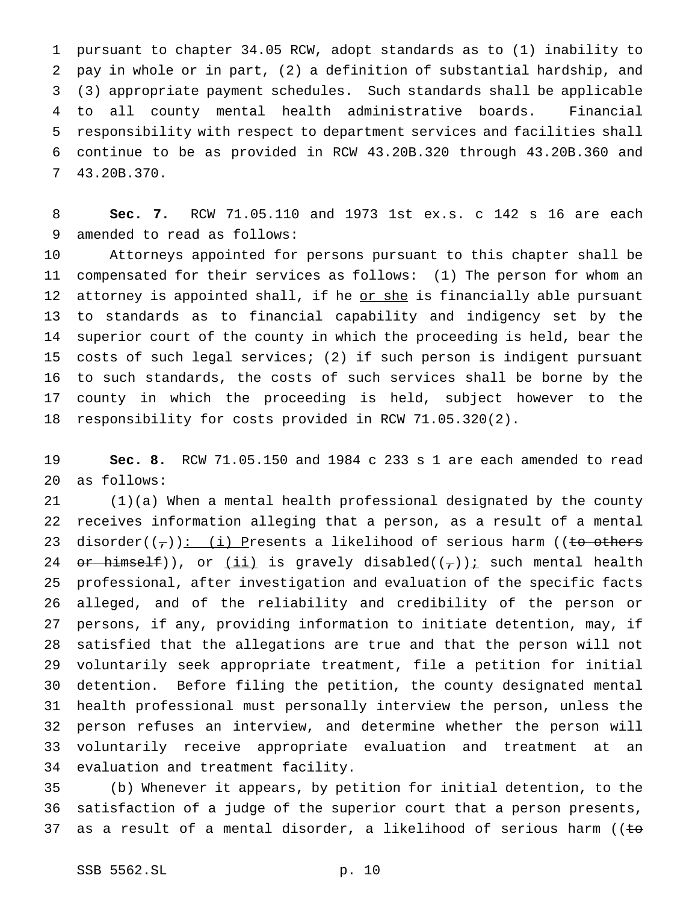pursuant to chapter 34.05 RCW, adopt standards as to (1) inability to pay in whole or in part, (2) a definition of substantial hardship, and (3) appropriate payment schedules. Such standards shall be applicable to all county mental health administrative boards. Financial responsibility with respect to department services and facilities shall continue to be as provided in RCW 43.20B.320 through 43.20B.360 and 43.20B.370.

 **Sec. 7.** RCW 71.05.110 and 1973 1st ex.s. c 142 s 16 are each amended to read as follows:

 Attorneys appointed for persons pursuant to this chapter shall be compensated for their services as follows: (1) The person for whom an 12 attorney is appointed shall, if he or she is financially able pursuant to standards as to financial capability and indigency set by the superior court of the county in which the proceeding is held, bear the costs of such legal services; (2) if such person is indigent pursuant to such standards, the costs of such services shall be borne by the county in which the proceeding is held, subject however to the responsibility for costs provided in RCW 71.05.320(2).

 **Sec. 8.** RCW 71.05.150 and 1984 c 233 s 1 are each amended to read as follows:

 (1)(a) When a mental health professional designated by the county receives information alleging that a person, as a result of a mental 23 disorder( $(\tau)$ ): (i) Presents a likelihood of serious harm ((to others 24 or himself)), or  $(i)$  is gravely disabled( $(\tau)$ ) is uch mental health professional, after investigation and evaluation of the specific facts alleged, and of the reliability and credibility of the person or persons, if any, providing information to initiate detention, may, if satisfied that the allegations are true and that the person will not voluntarily seek appropriate treatment, file a petition for initial detention. Before filing the petition, the county designated mental health professional must personally interview the person, unless the person refuses an interview, and determine whether the person will voluntarily receive appropriate evaluation and treatment at an evaluation and treatment facility.

 (b) Whenever it appears, by petition for initial detention, to the satisfaction of a judge of the superior court that a person presents, 37 as a result of a mental disorder, a likelihood of serious harm (( $t$ o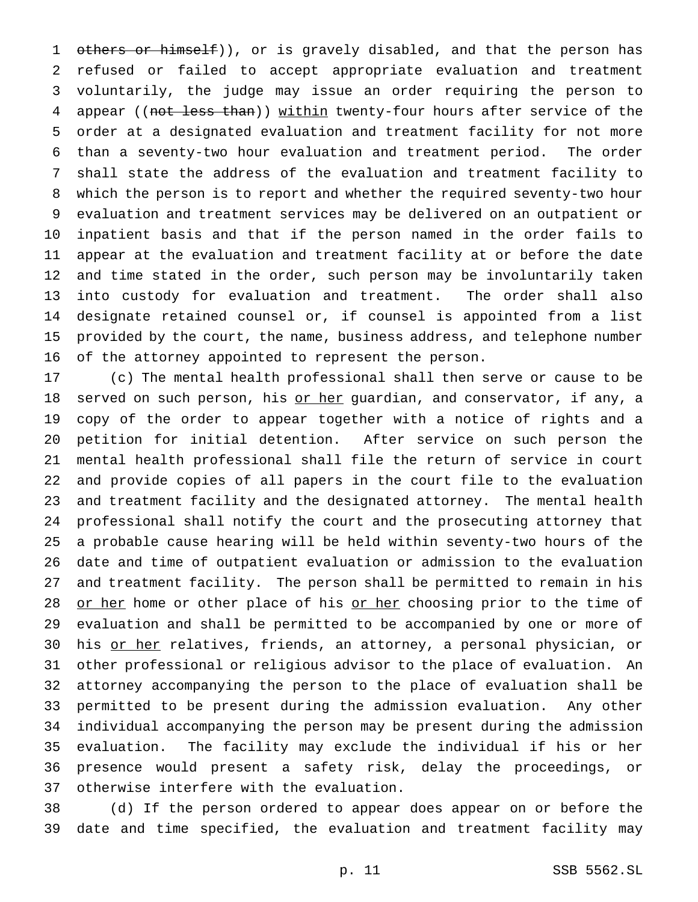1 others or himself)), or is gravely disabled, and that the person has refused or failed to accept appropriate evaluation and treatment voluntarily, the judge may issue an order requiring the person to 4 appear ((not less than)) within twenty-four hours after service of the order at a designated evaluation and treatment facility for not more than a seventy-two hour evaluation and treatment period. The order shall state the address of the evaluation and treatment facility to which the person is to report and whether the required seventy-two hour evaluation and treatment services may be delivered on an outpatient or inpatient basis and that if the person named in the order fails to appear at the evaluation and treatment facility at or before the date and time stated in the order, such person may be involuntarily taken into custody for evaluation and treatment. The order shall also designate retained counsel or, if counsel is appointed from a list provided by the court, the name, business address, and telephone number of the attorney appointed to represent the person.

 (c) The mental health professional shall then serve or cause to be 18 served on such person, his <u>or her</u> guardian, and conservator, if any, a copy of the order to appear together with a notice of rights and a petition for initial detention. After service on such person the mental health professional shall file the return of service in court and provide copies of all papers in the court file to the evaluation and treatment facility and the designated attorney. The mental health professional shall notify the court and the prosecuting attorney that a probable cause hearing will be held within seventy-two hours of the date and time of outpatient evaluation or admission to the evaluation and treatment facility. The person shall be permitted to remain in his 28 or her home or other place of his or her choosing prior to the time of evaluation and shall be permitted to be accompanied by one or more of 30 his or her relatives, friends, an attorney, a personal physician, or other professional or religious advisor to the place of evaluation. An attorney accompanying the person to the place of evaluation shall be permitted to be present during the admission evaluation. Any other individual accompanying the person may be present during the admission evaluation. The facility may exclude the individual if his or her presence would present a safety risk, delay the proceedings, or otherwise interfere with the evaluation.

 (d) If the person ordered to appear does appear on or before the date and time specified, the evaluation and treatment facility may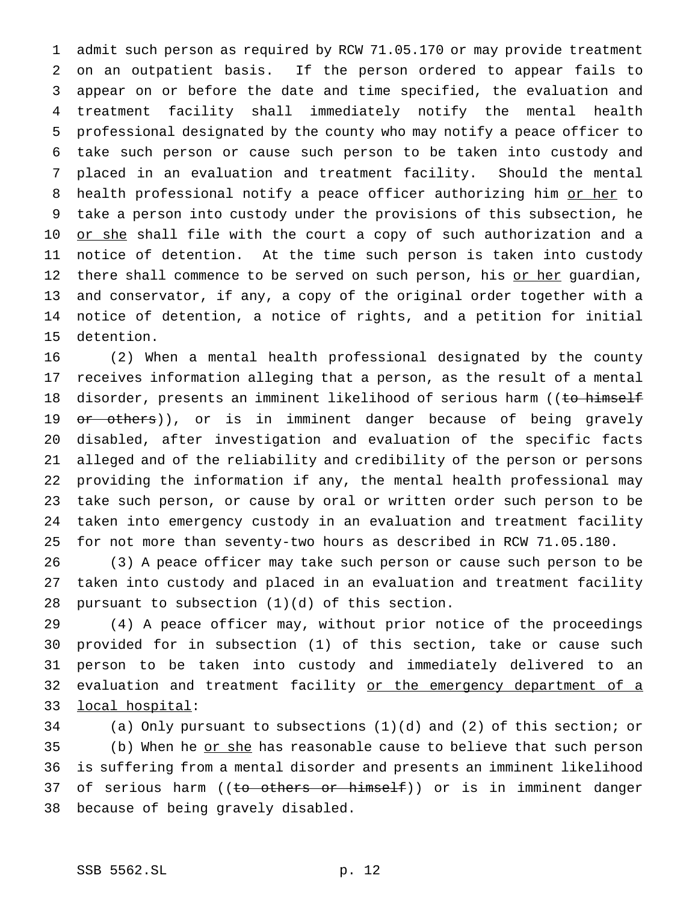admit such person as required by RCW 71.05.170 or may provide treatment on an outpatient basis. If the person ordered to appear fails to appear on or before the date and time specified, the evaluation and treatment facility shall immediately notify the mental health professional designated by the county who may notify a peace officer to take such person or cause such person to be taken into custody and placed in an evaluation and treatment facility. Should the mental 8 health professional notify a peace officer authorizing him or her to take a person into custody under the provisions of this subsection, he 10 <u>or she</u> shall file with the court a copy of such authorization and a notice of detention. At the time such person is taken into custody 12 there shall commence to be served on such person, his or her guardian, and conservator, if any, a copy of the original order together with a notice of detention, a notice of rights, and a petition for initial detention.

 (2) When a mental health professional designated by the county receives information alleging that a person, as the result of a mental 18 disorder, presents an imminent likelihood of serious harm ((to himself 19 or others)), or is in imminent danger because of being gravely disabled, after investigation and evaluation of the specific facts alleged and of the reliability and credibility of the person or persons providing the information if any, the mental health professional may take such person, or cause by oral or written order such person to be taken into emergency custody in an evaluation and treatment facility for not more than seventy-two hours as described in RCW 71.05.180.

 (3) A peace officer may take such person or cause such person to be taken into custody and placed in an evaluation and treatment facility 28 pursuant to subsection  $(1)(d)$  of this section.

 (4) A peace officer may, without prior notice of the proceedings provided for in subsection (1) of this section, take or cause such person to be taken into custody and immediately delivered to an 32 evaluation and treatment facility or the emergency department of a local hospital:

 (a) Only pursuant to subsections (1)(d) and (2) of this section; or 35 (b) When he or she has reasonable cause to believe that such person is suffering from a mental disorder and presents an imminent likelihood 37 of serious harm ((to others or himself)) or is in imminent danger because of being gravely disabled.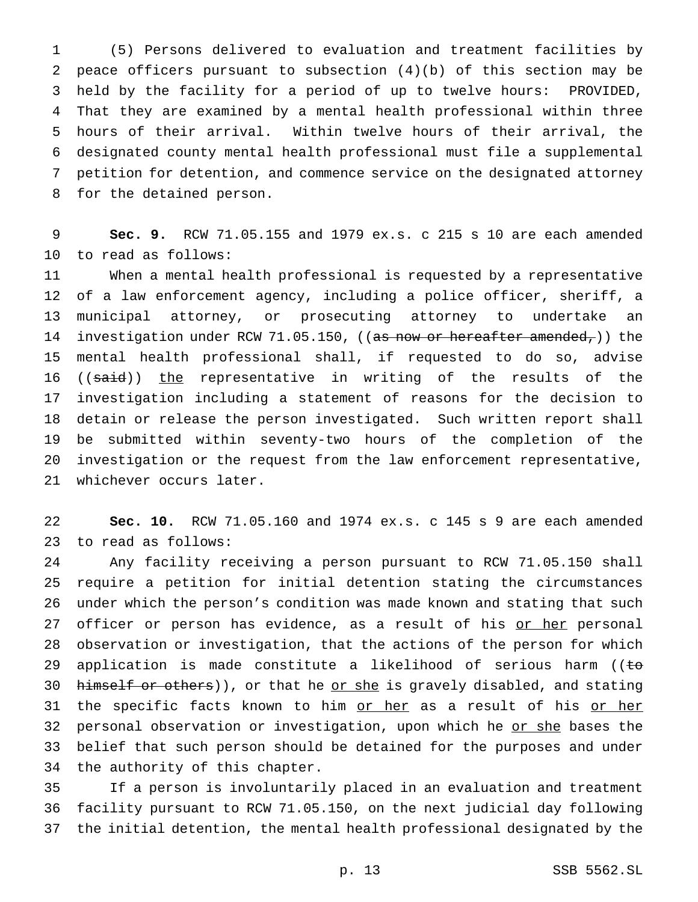(5) Persons delivered to evaluation and treatment facilities by peace officers pursuant to subsection (4)(b) of this section may be held by the facility for a period of up to twelve hours: PROVIDED, That they are examined by a mental health professional within three hours of their arrival. Within twelve hours of their arrival, the designated county mental health professional must file a supplemental petition for detention, and commence service on the designated attorney for the detained person.

 **Sec. 9.** RCW 71.05.155 and 1979 ex.s. c 215 s 10 are each amended to read as follows:

 When a mental health professional is requested by a representative of a law enforcement agency, including a police officer, sheriff, a municipal attorney, or prosecuting attorney to undertake an 14 investigation under RCW 71.05.150, ((as now or hereafter amended,)) the mental health professional shall, if requested to do so, advise 16 ((said)) the representative in writing of the results of the investigation including a statement of reasons for the decision to detain or release the person investigated. Such written report shall be submitted within seventy-two hours of the completion of the investigation or the request from the law enforcement representative, whichever occurs later.

 **Sec. 10.** RCW 71.05.160 and 1974 ex.s. c 145 s 9 are each amended to read as follows:

 Any facility receiving a person pursuant to RCW 71.05.150 shall require a petition for initial detention stating the circumstances under which the person's condition was made known and stating that such 27 officer or person has evidence, as a result of his or her personal observation or investigation, that the actions of the person for which 29 application is made constitute a likelihood of serious harm ((to 30 himself or others)), or that he or she is gravely disabled, and stating 31 the specific facts known to him or her as a result of his or her 32 personal observation or investigation, upon which he or she bases the belief that such person should be detained for the purposes and under the authority of this chapter.

 If a person is involuntarily placed in an evaluation and treatment facility pursuant to RCW 71.05.150, on the next judicial day following the initial detention, the mental health professional designated by the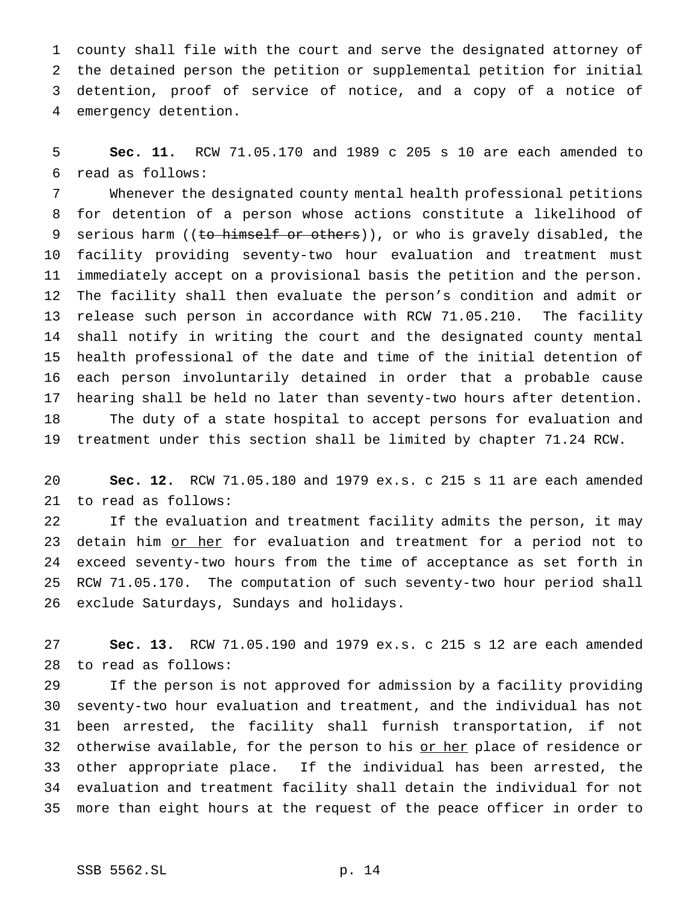county shall file with the court and serve the designated attorney of the detained person the petition or supplemental petition for initial detention, proof of service of notice, and a copy of a notice of emergency detention.

 **Sec. 11.** RCW 71.05.170 and 1989 c 205 s 10 are each amended to read as follows:

 Whenever the designated county mental health professional petitions for detention of a person whose actions constitute a likelihood of 9 serious harm ((to himself or others)), or who is gravely disabled, the facility providing seventy-two hour evaluation and treatment must immediately accept on a provisional basis the petition and the person. The facility shall then evaluate the person's condition and admit or release such person in accordance with RCW 71.05.210. The facility shall notify in writing the court and the designated county mental health professional of the date and time of the initial detention of each person involuntarily detained in order that a probable cause hearing shall be held no later than seventy-two hours after detention. The duty of a state hospital to accept persons for evaluation and treatment under this section shall be limited by chapter 71.24 RCW.

 **Sec. 12.** RCW 71.05.180 and 1979 ex.s. c 215 s 11 are each amended to read as follows:

 If the evaluation and treatment facility admits the person, it may 23 detain him <u>or her</u> for evaluation and treatment for a period not to exceed seventy-two hours from the time of acceptance as set forth in RCW 71.05.170. The computation of such seventy-two hour period shall exclude Saturdays, Sundays and holidays.

 **Sec. 13.** RCW 71.05.190 and 1979 ex.s. c 215 s 12 are each amended to read as follows:

 If the person is not approved for admission by a facility providing seventy-two hour evaluation and treatment, and the individual has not been arrested, the facility shall furnish transportation, if not 32 otherwise available, for the person to his or her place of residence or other appropriate place. If the individual has been arrested, the evaluation and treatment facility shall detain the individual for not more than eight hours at the request of the peace officer in order to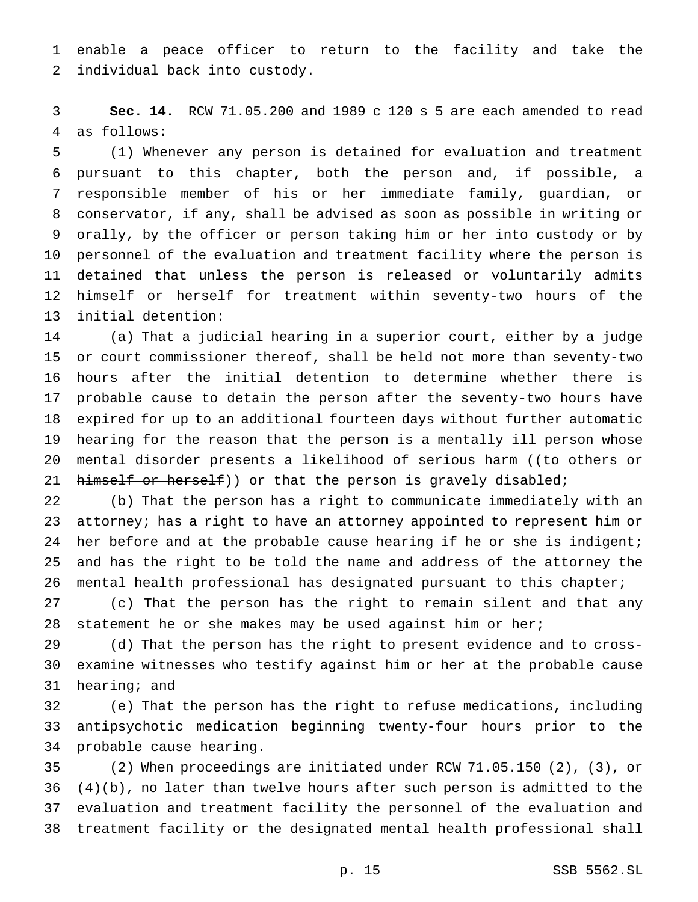enable a peace officer to return to the facility and take the individual back into custody.

 **Sec. 14.** RCW 71.05.200 and 1989 c 120 s 5 are each amended to read as follows:

 (1) Whenever any person is detained for evaluation and treatment pursuant to this chapter, both the person and, if possible, a responsible member of his or her immediate family, guardian, or conservator, if any, shall be advised as soon as possible in writing or orally, by the officer or person taking him or her into custody or by personnel of the evaluation and treatment facility where the person is detained that unless the person is released or voluntarily admits himself or herself for treatment within seventy-two hours of the initial detention:

 (a) That a judicial hearing in a superior court, either by a judge or court commissioner thereof, shall be held not more than seventy-two hours after the initial detention to determine whether there is probable cause to detain the person after the seventy-two hours have expired for up to an additional fourteen days without further automatic hearing for the reason that the person is a mentally ill person whose 20 mental disorder presents a likelihood of serious harm ((to others or 21 himself or herself)) or that the person is gravely disabled;

 (b) That the person has a right to communicate immediately with an attorney; has a right to have an attorney appointed to represent him or 24 her before and at the probable cause hearing if he or she is indigent; and has the right to be told the name and address of the attorney the mental health professional has designated pursuant to this chapter;

 (c) That the person has the right to remain silent and that any statement he or she makes may be used against him or her;

 (d) That the person has the right to present evidence and to cross- examine witnesses who testify against him or her at the probable cause hearing; and

 (e) That the person has the right to refuse medications, including antipsychotic medication beginning twenty-four hours prior to the probable cause hearing.

 (2) When proceedings are initiated under RCW 71.05.150 (2), (3), or (4)(b), no later than twelve hours after such person is admitted to the evaluation and treatment facility the personnel of the evaluation and treatment facility or the designated mental health professional shall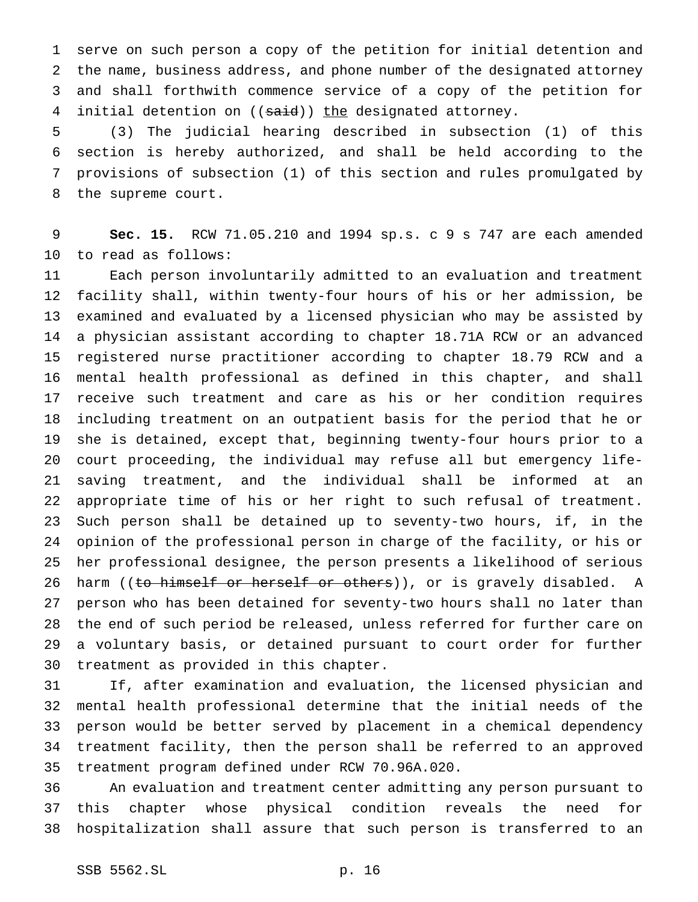serve on such person a copy of the petition for initial detention and the name, business address, and phone number of the designated attorney and shall forthwith commence service of a copy of the petition for 4 initial detention on ((said)) the designated attorney.

 (3) The judicial hearing described in subsection (1) of this section is hereby authorized, and shall be held according to the provisions of subsection (1) of this section and rules promulgated by the supreme court.

 **Sec. 15.** RCW 71.05.210 and 1994 sp.s. c 9 s 747 are each amended to read as follows:

 Each person involuntarily admitted to an evaluation and treatment facility shall, within twenty-four hours of his or her admission, be examined and evaluated by a licensed physician who may be assisted by a physician assistant according to chapter 18.71A RCW or an advanced registered nurse practitioner according to chapter 18.79 RCW and a mental health professional as defined in this chapter, and shall receive such treatment and care as his or her condition requires including treatment on an outpatient basis for the period that he or she is detained, except that, beginning twenty-four hours prior to a court proceeding, the individual may refuse all but emergency life- saving treatment, and the individual shall be informed at an appropriate time of his or her right to such refusal of treatment. Such person shall be detained up to seventy-two hours, if, in the opinion of the professional person in charge of the facility, or his or her professional designee, the person presents a likelihood of serious 26 harm ((to himself or herself or others)), or is gravely disabled. A person who has been detained for seventy-two hours shall no later than the end of such period be released, unless referred for further care on a voluntary basis, or detained pursuant to court order for further treatment as provided in this chapter.

 If, after examination and evaluation, the licensed physician and mental health professional determine that the initial needs of the person would be better served by placement in a chemical dependency treatment facility, then the person shall be referred to an approved treatment program defined under RCW 70.96A.020.

 An evaluation and treatment center admitting any person pursuant to this chapter whose physical condition reveals the need for hospitalization shall assure that such person is transferred to an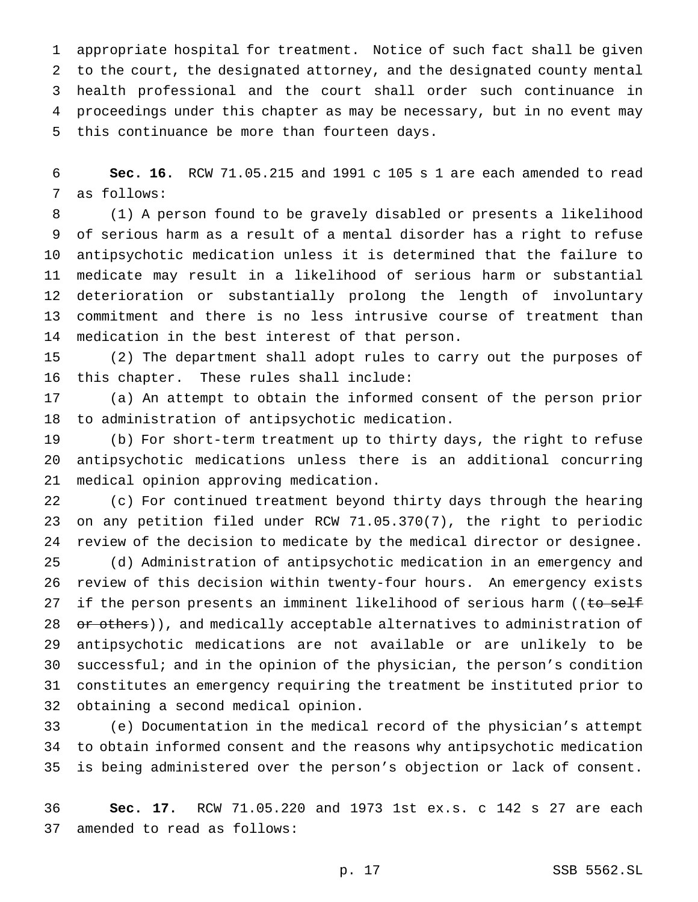appropriate hospital for treatment. Notice of such fact shall be given to the court, the designated attorney, and the designated county mental health professional and the court shall order such continuance in proceedings under this chapter as may be necessary, but in no event may this continuance be more than fourteen days.

 **Sec. 16.** RCW 71.05.215 and 1991 c 105 s 1 are each amended to read as follows:

 (1) A person found to be gravely disabled or presents a likelihood of serious harm as a result of a mental disorder has a right to refuse antipsychotic medication unless it is determined that the failure to medicate may result in a likelihood of serious harm or substantial deterioration or substantially prolong the length of involuntary commitment and there is no less intrusive course of treatment than medication in the best interest of that person.

 (2) The department shall adopt rules to carry out the purposes of this chapter. These rules shall include:

 (a) An attempt to obtain the informed consent of the person prior to administration of antipsychotic medication.

 (b) For short-term treatment up to thirty days, the right to refuse antipsychotic medications unless there is an additional concurring medical opinion approving medication.

 (c) For continued treatment beyond thirty days through the hearing on any petition filed under RCW 71.05.370(7), the right to periodic review of the decision to medicate by the medical director or designee.

 (d) Administration of antipsychotic medication in an emergency and review of this decision within twenty-four hours. An emergency exists 27 if the person presents an imminent likelihood of serious harm ((to self 28 or others)), and medically acceptable alternatives to administration of antipsychotic medications are not available or are unlikely to be successful; and in the opinion of the physician, the person's condition constitutes an emergency requiring the treatment be instituted prior to obtaining a second medical opinion.

 (e) Documentation in the medical record of the physician's attempt to obtain informed consent and the reasons why antipsychotic medication is being administered over the person's objection or lack of consent.

 **Sec. 17.** RCW 71.05.220 and 1973 1st ex.s. c 142 s 27 are each amended to read as follows: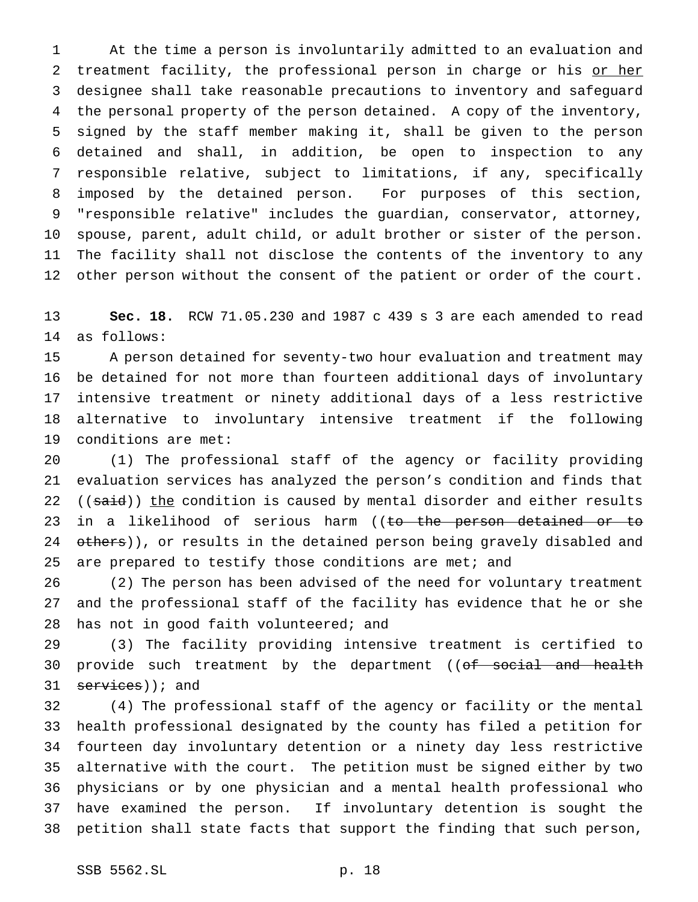At the time a person is involuntarily admitted to an evaluation and 2 treatment facility, the professional person in charge or his or her designee shall take reasonable precautions to inventory and safeguard the personal property of the person detained. A copy of the inventory, signed by the staff member making it, shall be given to the person detained and shall, in addition, be open to inspection to any responsible relative, subject to limitations, if any, specifically imposed by the detained person. For purposes of this section, "responsible relative" includes the guardian, conservator, attorney, spouse, parent, adult child, or adult brother or sister of the person. The facility shall not disclose the contents of the inventory to any other person without the consent of the patient or order of the court.

 **Sec. 18.** RCW 71.05.230 and 1987 c 439 s 3 are each amended to read as follows:

 A person detained for seventy-two hour evaluation and treatment may be detained for not more than fourteen additional days of involuntary intensive treatment or ninety additional days of a less restrictive alternative to involuntary intensive treatment if the following conditions are met:

 (1) The professional staff of the agency or facility providing evaluation services has analyzed the person's condition and finds that 22 ((said)) the condition is caused by mental disorder and either results 23 in a likelihood of serious harm ((to the person detained or to 24 others)), or results in the detained person being gravely disabled and 25 are prepared to testify those conditions are met; and

 (2) The person has been advised of the need for voluntary treatment and the professional staff of the facility has evidence that he or she 28 has not in good faith volunteered; and

 (3) The facility providing intensive treatment is certified to 30 provide such treatment by the department ((of social and health  $s$ ervices)); and

 (4) The professional staff of the agency or facility or the mental health professional designated by the county has filed a petition for fourteen day involuntary detention or a ninety day less restrictive alternative with the court. The petition must be signed either by two physicians or by one physician and a mental health professional who have examined the person. If involuntary detention is sought the petition shall state facts that support the finding that such person,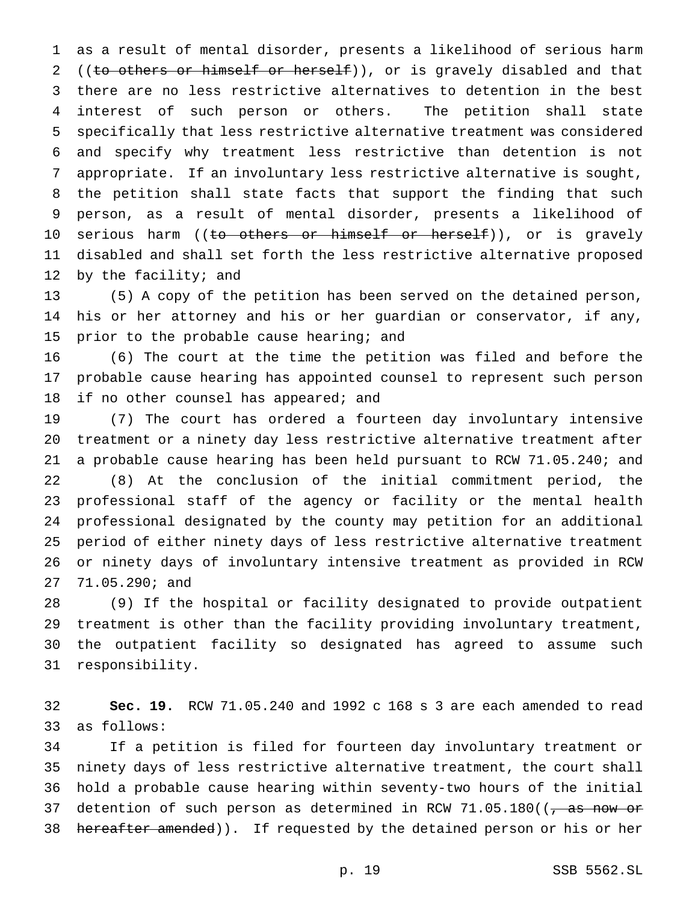as a result of mental disorder, presents a likelihood of serious harm 2 ((to others or himself or herself)), or is gravely disabled and that there are no less restrictive alternatives to detention in the best interest of such person or others. The petition shall state specifically that less restrictive alternative treatment was considered and specify why treatment less restrictive than detention is not appropriate. If an involuntary less restrictive alternative is sought, the petition shall state facts that support the finding that such person, as a result of mental disorder, presents a likelihood of 10 serious harm ((<del>to others or himself or herself</del>)), or is gravely disabled and shall set forth the less restrictive alternative proposed 12 by the facility; and

 (5) A copy of the petition has been served on the detained person, his or her attorney and his or her guardian or conservator, if any, 15 prior to the probable cause hearing; and

 (6) The court at the time the petition was filed and before the probable cause hearing has appointed counsel to represent such person 18 if no other counsel has appeared; and

 (7) The court has ordered a fourteen day involuntary intensive treatment or a ninety day less restrictive alternative treatment after a probable cause hearing has been held pursuant to RCW 71.05.240; and (8) At the conclusion of the initial commitment period, the professional staff of the agency or facility or the mental health professional designated by the county may petition for an additional period of either ninety days of less restrictive alternative treatment or ninety days of involuntary intensive treatment as provided in RCW 71.05.290; and

 (9) If the hospital or facility designated to provide outpatient treatment is other than the facility providing involuntary treatment, the outpatient facility so designated has agreed to assume such responsibility.

 **Sec. 19.** RCW 71.05.240 and 1992 c 168 s 3 are each amended to read as follows:

 If a petition is filed for fourteen day involuntary treatment or ninety days of less restrictive alternative treatment, the court shall hold a probable cause hearing within seventy-two hours of the initial 37 detention of such person as determined in RCW 71.05.180( $\left(7\right.$  as now or 38 hereafter amended)). If requested by the detained person or his or her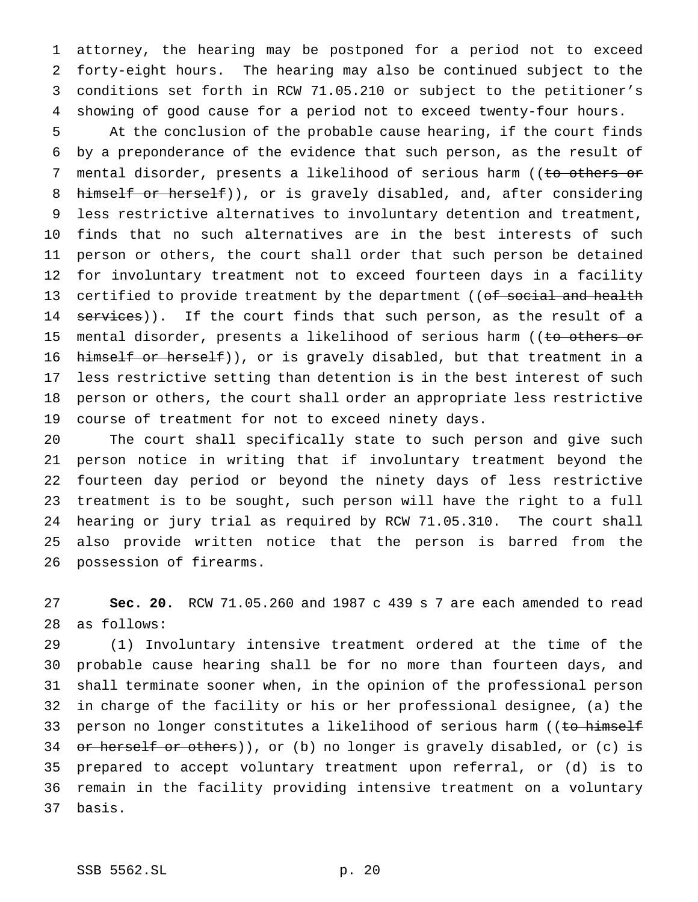attorney, the hearing may be postponed for a period not to exceed forty-eight hours. The hearing may also be continued subject to the conditions set forth in RCW 71.05.210 or subject to the petitioner's showing of good cause for a period not to exceed twenty-four hours.

 At the conclusion of the probable cause hearing, if the court finds by a preponderance of the evidence that such person, as the result of 7 mental disorder, presents a likelihood of serious harm ((to others or 8 himself or herself)), or is gravely disabled, and, after considering less restrictive alternatives to involuntary detention and treatment, finds that no such alternatives are in the best interests of such person or others, the court shall order that such person be detained for involuntary treatment not to exceed fourteen days in a facility 13 certified to provide treatment by the department ((of social and health 14 services)). If the court finds that such person, as the result of a 15 mental disorder, presents a likelihood of serious harm ((to others or 16 himself or herself)), or is gravely disabled, but that treatment in a less restrictive setting than detention is in the best interest of such person or others, the court shall order an appropriate less restrictive course of treatment for not to exceed ninety days.

 The court shall specifically state to such person and give such person notice in writing that if involuntary treatment beyond the fourteen day period or beyond the ninety days of less restrictive treatment is to be sought, such person will have the right to a full hearing or jury trial as required by RCW 71.05.310. The court shall also provide written notice that the person is barred from the possession of firearms.

 **Sec. 20.** RCW 71.05.260 and 1987 c 439 s 7 are each amended to read as follows:

 (1) Involuntary intensive treatment ordered at the time of the probable cause hearing shall be for no more than fourteen days, and shall terminate sooner when, in the opinion of the professional person in charge of the facility or his or her professional designee, (a) the 33 person no longer constitutes a likelihood of serious harm ((to himself 34 or herself or others)), or (b) no longer is gravely disabled, or (c) is prepared to accept voluntary treatment upon referral, or (d) is to remain in the facility providing intensive treatment on a voluntary basis.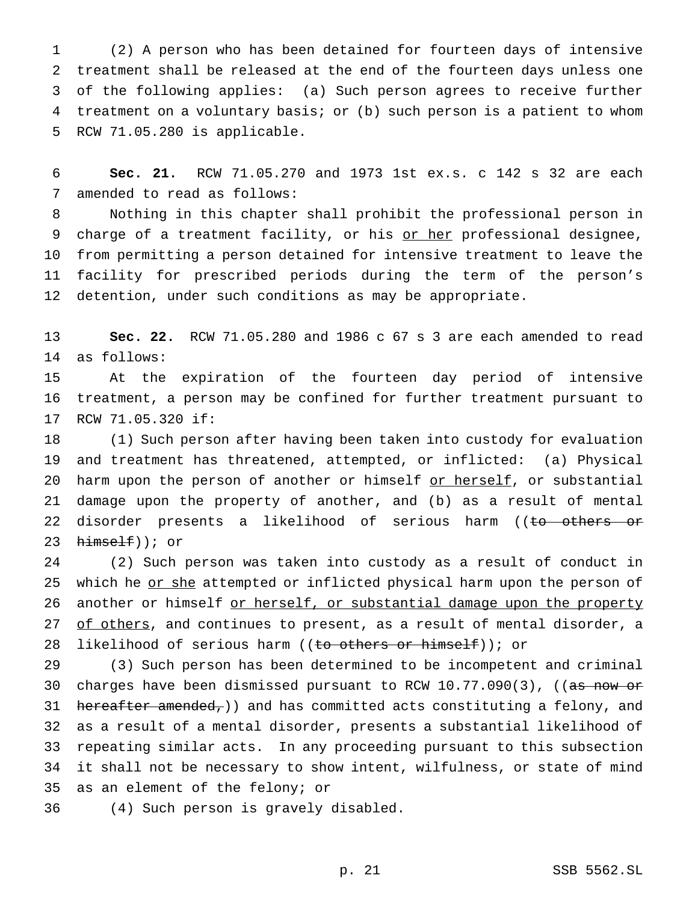(2) A person who has been detained for fourteen days of intensive treatment shall be released at the end of the fourteen days unless one of the following applies: (a) Such person agrees to receive further treatment on a voluntary basis; or (b) such person is a patient to whom RCW 71.05.280 is applicable.

 **Sec. 21.** RCW 71.05.270 and 1973 1st ex.s. c 142 s 32 are each amended to read as follows:

 Nothing in this chapter shall prohibit the professional person in 9 charge of a treatment facility, or his or her professional designee, from permitting a person detained for intensive treatment to leave the facility for prescribed periods during the term of the person's detention, under such conditions as may be appropriate.

 **Sec. 22.** RCW 71.05.280 and 1986 c 67 s 3 are each amended to read as follows:

 At the expiration of the fourteen day period of intensive treatment, a person may be confined for further treatment pursuant to RCW 71.05.320 if:

 (1) Such person after having been taken into custody for evaluation and treatment has threatened, attempted, or inflicted: (a) Physical 20 harm upon the person of another or himself or herself, or substantial damage upon the property of another, and (b) as a result of mental 22 disorder presents a likelihood of serious harm ((to others or  $himesH()$ ; or

 (2) Such person was taken into custody as a result of conduct in 25 which he or she attempted or inflicted physical harm upon the person of 26 another or himself or herself, or substantial damage upon the property 27 of others, and continues to present, as a result of mental disorder, a 28 likelihood of serious harm ((to others or himself)); or

 (3) Such person has been determined to be incompetent and criminal 30 charges have been dismissed pursuant to RCW 10.77.090(3), ((as now or 31 hereafter amended,)) and has committed acts constituting a felony, and as a result of a mental disorder, presents a substantial likelihood of repeating similar acts. In any proceeding pursuant to this subsection it shall not be necessary to show intent, wilfulness, or state of mind as an element of the felony; or

(4) Such person is gravely disabled.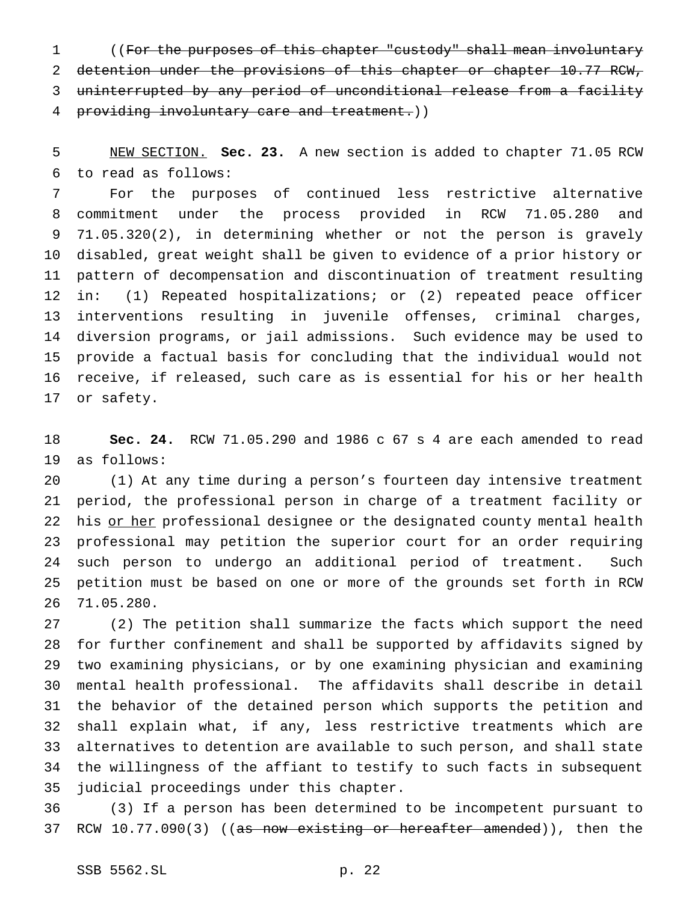((For the purposes of this chapter "custody" shall mean involuntary detention under the provisions of this chapter or chapter 10.77 RCW, uninterrupted by any period of unconditional release from a facility providing involuntary care and treatment.))

 NEW SECTION. **Sec. 23.** A new section is added to chapter 71.05 RCW to read as follows:

 For the purposes of continued less restrictive alternative commitment under the process provided in RCW 71.05.280 and 71.05.320(2), in determining whether or not the person is gravely disabled, great weight shall be given to evidence of a prior history or pattern of decompensation and discontinuation of treatment resulting in: (1) Repeated hospitalizations; or (2) repeated peace officer interventions resulting in juvenile offenses, criminal charges, diversion programs, or jail admissions. Such evidence may be used to provide a factual basis for concluding that the individual would not receive, if released, such care as is essential for his or her health or safety.

 **Sec. 24.** RCW 71.05.290 and 1986 c 67 s 4 are each amended to read as follows:

 (1) At any time during a person's fourteen day intensive treatment period, the professional person in charge of a treatment facility or 22 his or her professional designee or the designated county mental health professional may petition the superior court for an order requiring such person to undergo an additional period of treatment. Such petition must be based on one or more of the grounds set forth in RCW 71.05.280.

 (2) The petition shall summarize the facts which support the need for further confinement and shall be supported by affidavits signed by two examining physicians, or by one examining physician and examining mental health professional. The affidavits shall describe in detail the behavior of the detained person which supports the petition and shall explain what, if any, less restrictive treatments which are alternatives to detention are available to such person, and shall state the willingness of the affiant to testify to such facts in subsequent judicial proceedings under this chapter.

 (3) If a person has been determined to be incompetent pursuant to 37 RCW 10.77.090(3) ((<del>as now existing or hereafter amended</del>)), then the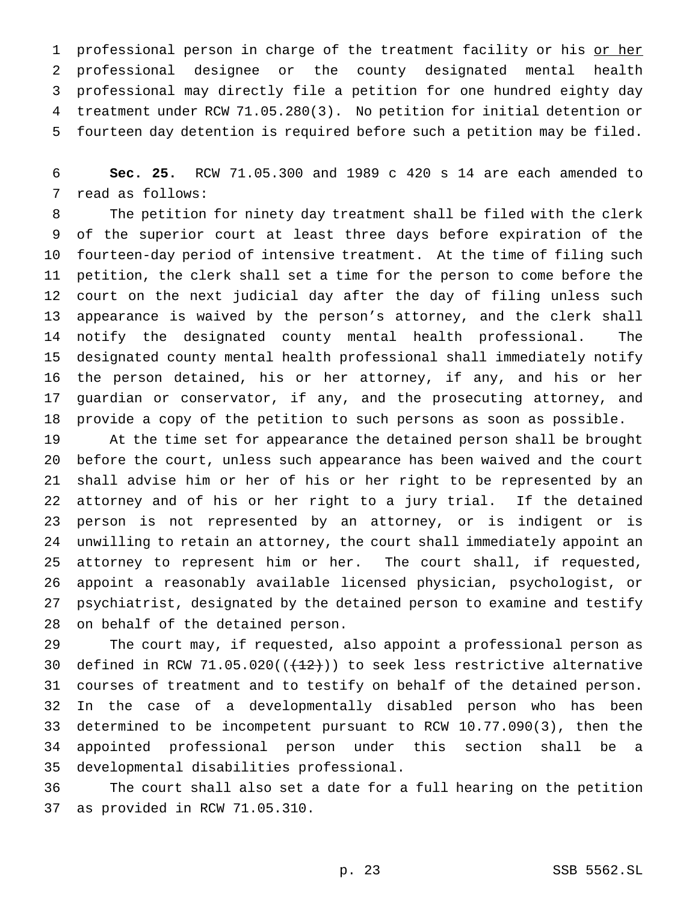1 professional person in charge of the treatment facility or his or her professional designee or the county designated mental health professional may directly file a petition for one hundred eighty day treatment under RCW 71.05.280(3). No petition for initial detention or fourteen day detention is required before such a petition may be filed.

 **Sec. 25.** RCW 71.05.300 and 1989 c 420 s 14 are each amended to read as follows:

 The petition for ninety day treatment shall be filed with the clerk of the superior court at least three days before expiration of the fourteen-day period of intensive treatment. At the time of filing such petition, the clerk shall set a time for the person to come before the court on the next judicial day after the day of filing unless such appearance is waived by the person's attorney, and the clerk shall notify the designated county mental health professional. The designated county mental health professional shall immediately notify the person detained, his or her attorney, if any, and his or her guardian or conservator, if any, and the prosecuting attorney, and provide a copy of the petition to such persons as soon as possible.

 At the time set for appearance the detained person shall be brought before the court, unless such appearance has been waived and the court shall advise him or her of his or her right to be represented by an attorney and of his or her right to a jury trial. If the detained person is not represented by an attorney, or is indigent or is unwilling to retain an attorney, the court shall immediately appoint an attorney to represent him or her. The court shall, if requested, appoint a reasonably available licensed physician, psychologist, or psychiatrist, designated by the detained person to examine and testify on behalf of the detained person.

 The court may, if requested, also appoint a professional person as 30 defined in RCW 71.05.020( $(\frac{12}{12})$ ) to seek less restrictive alternative courses of treatment and to testify on behalf of the detained person. In the case of a developmentally disabled person who has been determined to be incompetent pursuant to RCW 10.77.090(3), then the appointed professional person under this section shall be a developmental disabilities professional.

 The court shall also set a date for a full hearing on the petition as provided in RCW 71.05.310.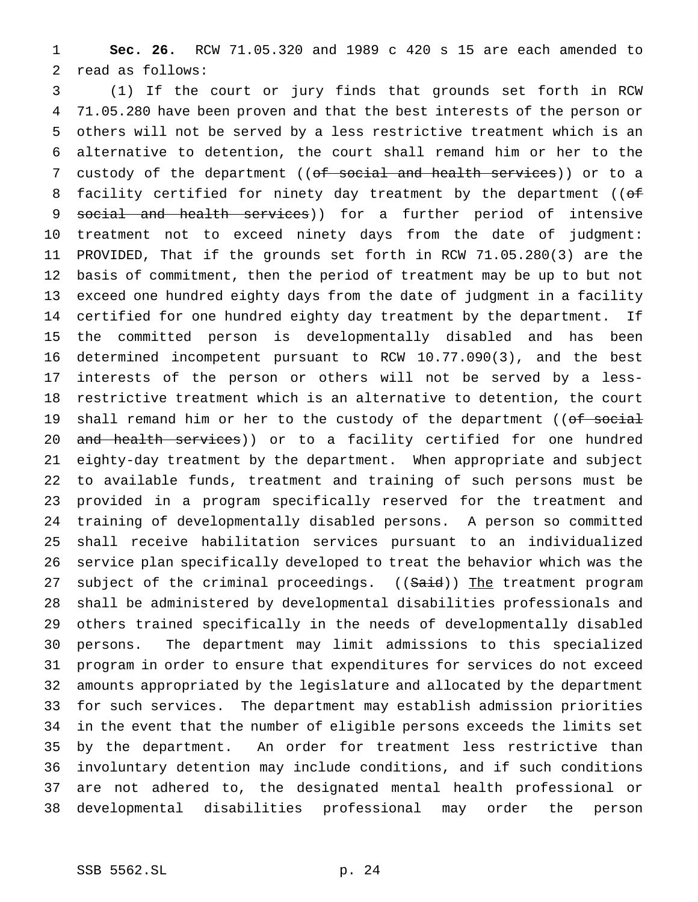**Sec. 26.** RCW 71.05.320 and 1989 c 420 s 15 are each amended to read as follows:

 (1) If the court or jury finds that grounds set forth in RCW 71.05.280 have been proven and that the best interests of the person or others will not be served by a less restrictive treatment which is an alternative to detention, the court shall remand him or her to the 7 custody of the department ((of social and health services)) or to a 8 facility certified for ninety day treatment by the department ((of 9 social and health services)) for a further period of intensive treatment not to exceed ninety days from the date of judgment: PROVIDED, That if the grounds set forth in RCW 71.05.280(3) are the basis of commitment, then the period of treatment may be up to but not exceed one hundred eighty days from the date of judgment in a facility certified for one hundred eighty day treatment by the department. If the committed person is developmentally disabled and has been determined incompetent pursuant to RCW 10.77.090(3), and the best interests of the person or others will not be served by a less- restrictive treatment which is an alternative to detention, the court 19 shall remand him or her to the custody of the department ((of social 20 and health services)) or to a facility certified for one hundred eighty-day treatment by the department. When appropriate and subject to available funds, treatment and training of such persons must be provided in a program specifically reserved for the treatment and training of developmentally disabled persons. A person so committed shall receive habilitation services pursuant to an individualized service plan specifically developed to treat the behavior which was the 27 subject of the criminal proceedings. ((Said)) The treatment program shall be administered by developmental disabilities professionals and others trained specifically in the needs of developmentally disabled persons. The department may limit admissions to this specialized program in order to ensure that expenditures for services do not exceed amounts appropriated by the legislature and allocated by the department for such services. The department may establish admission priorities in the event that the number of eligible persons exceeds the limits set by the department. An order for treatment less restrictive than involuntary detention may include conditions, and if such conditions are not adhered to, the designated mental health professional or developmental disabilities professional may order the person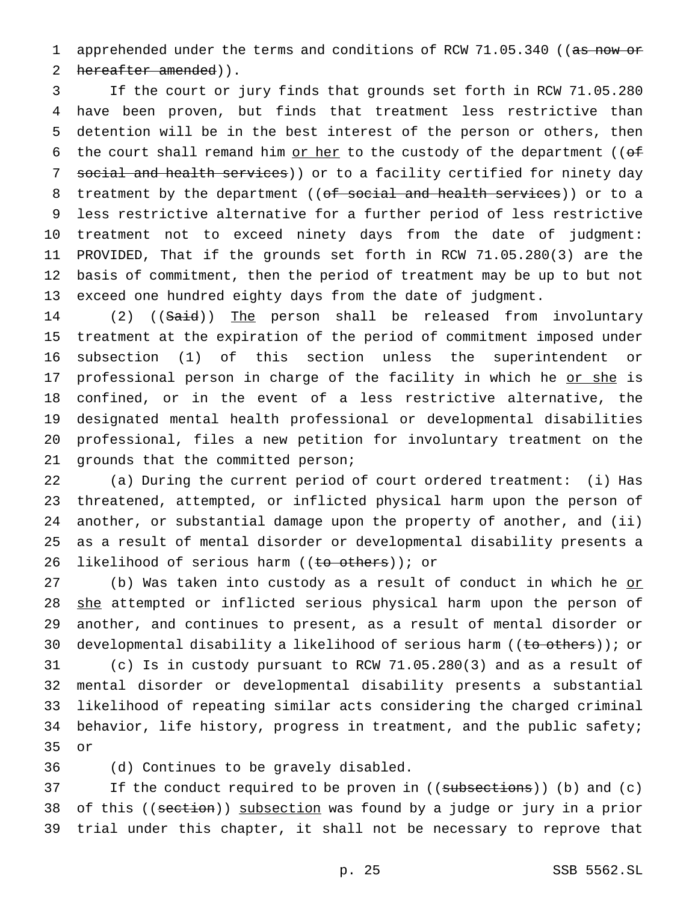1 apprehended under the terms and conditions of RCW 71.05.340 ((as now or 2 hereafter amended)).

 If the court or jury finds that grounds set forth in RCW 71.05.280 have been proven, but finds that treatment less restrictive than detention will be in the best interest of the person or others, then 6 the court shall remand him or her to the custody of the department (( $\theta$ f 7 social and health services)) or to a facility certified for ninety day 8 treatment by the department ((of social and health services)) or to a less restrictive alternative for a further period of less restrictive treatment not to exceed ninety days from the date of judgment: PROVIDED, That if the grounds set forth in RCW 71.05.280(3) are the basis of commitment, then the period of treatment may be up to but not exceed one hundred eighty days from the date of judgment.

14 (2) ((Said)) The person shall be released from involuntary treatment at the expiration of the period of commitment imposed under subsection (1) of this section unless the superintendent or 17 professional person in charge of the facility in which he or she is confined, or in the event of a less restrictive alternative, the designated mental health professional or developmental disabilities professional, files a new petition for involuntary treatment on the grounds that the committed person;

 (a) During the current period of court ordered treatment: (i) Has threatened, attempted, or inflicted physical harm upon the person of another, or substantial damage upon the property of another, and (ii) as a result of mental disorder or developmental disability presents a 26 likelihood of serious harm ((to others)); or

27 (b) Was taken into custody as a result of conduct in which he or 28 she attempted or inflicted serious physical harm upon the person of another, and continues to present, as a result of mental disorder or 30 developmental disability a likelihood of serious harm ((to others)); or (c) Is in custody pursuant to RCW 71.05.280(3) and as a result of mental disorder or developmental disability presents a substantial likelihood of repeating similar acts considering the charged criminal 34 behavior, life history, progress in treatment, and the public safety; or

(d) Continues to be gravely disabled.

37 If the conduct required to be proven in ((subsections)) (b) and (c) 38 of this ((section)) subsection was found by a judge or jury in a prior trial under this chapter, it shall not be necessary to reprove that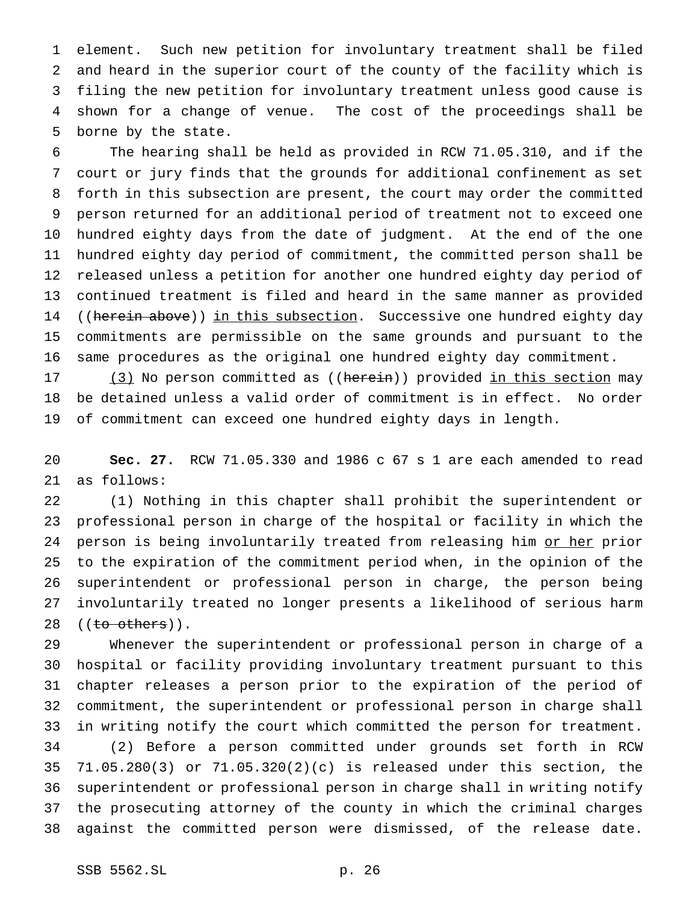element. Such new petition for involuntary treatment shall be filed and heard in the superior court of the county of the facility which is filing the new petition for involuntary treatment unless good cause is shown for a change of venue. The cost of the proceedings shall be borne by the state.

 The hearing shall be held as provided in RCW 71.05.310, and if the court or jury finds that the grounds for additional confinement as set forth in this subsection are present, the court may order the committed person returned for an additional period of treatment not to exceed one hundred eighty days from the date of judgment. At the end of the one hundred eighty day period of commitment, the committed person shall be released unless a petition for another one hundred eighty day period of continued treatment is filed and heard in the same manner as provided 14 ((herein above)) in this subsection. Successive one hundred eighty day commitments are permissible on the same grounds and pursuant to the same procedures as the original one hundred eighty day commitment.

17 (3) No person committed as ((herein)) provided in this section may be detained unless a valid order of commitment is in effect. No order of commitment can exceed one hundred eighty days in length.

 **Sec. 27.** RCW 71.05.330 and 1986 c 67 s 1 are each amended to read as follows:

 (1) Nothing in this chapter shall prohibit the superintendent or professional person in charge of the hospital or facility in which the 24 person is being involuntarily treated from releasing him or her prior to the expiration of the commitment period when, in the opinion of the superintendent or professional person in charge, the person being involuntarily treated no longer presents a likelihood of serious harm 28 ((<del>to others</del>)).

 Whenever the superintendent or professional person in charge of a hospital or facility providing involuntary treatment pursuant to this chapter releases a person prior to the expiration of the period of commitment, the superintendent or professional person in charge shall in writing notify the court which committed the person for treatment. (2) Before a person committed under grounds set forth in RCW 71.05.280(3) or 71.05.320(2)(c) is released under this section, the superintendent or professional person in charge shall in writing notify the prosecuting attorney of the county in which the criminal charges against the committed person were dismissed, of the release date.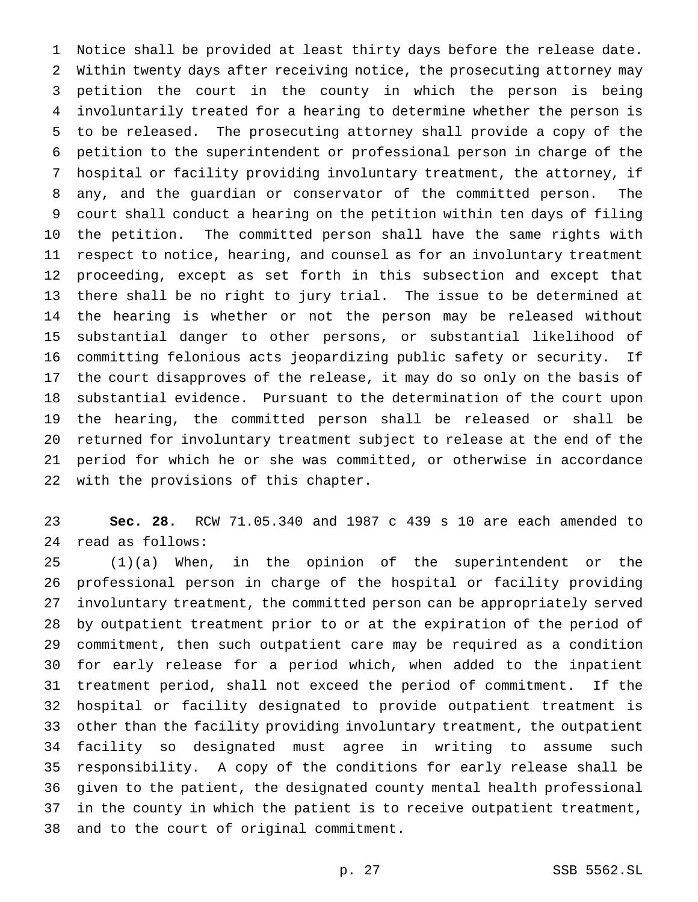Notice shall be provided at least thirty days before the release date. Within twenty days after receiving notice, the prosecuting attorney may petition the court in the county in which the person is being involuntarily treated for a hearing to determine whether the person is to be released. The prosecuting attorney shall provide a copy of the petition to the superintendent or professional person in charge of the hospital or facility providing involuntary treatment, the attorney, if any, and the guardian or conservator of the committed person. The court shall conduct a hearing on the petition within ten days of filing the petition. The committed person shall have the same rights with respect to notice, hearing, and counsel as for an involuntary treatment proceeding, except as set forth in this subsection and except that there shall be no right to jury trial. The issue to be determined at the hearing is whether or not the person may be released without substantial danger to other persons, or substantial likelihood of committing felonious acts jeopardizing public safety or security. If the court disapproves of the release, it may do so only on the basis of substantial evidence. Pursuant to the determination of the court upon the hearing, the committed person shall be released or shall be returned for involuntary treatment subject to release at the end of the period for which he or she was committed, or otherwise in accordance with the provisions of this chapter.

 **Sec. 28.** RCW 71.05.340 and 1987 c 439 s 10 are each amended to read as follows:

 (1)(a) When, in the opinion of the superintendent or the professional person in charge of the hospital or facility providing involuntary treatment, the committed person can be appropriately served by outpatient treatment prior to or at the expiration of the period of commitment, then such outpatient care may be required as a condition for early release for a period which, when added to the inpatient treatment period, shall not exceed the period of commitment. If the hospital or facility designated to provide outpatient treatment is other than the facility providing involuntary treatment, the outpatient facility so designated must agree in writing to assume such responsibility. A copy of the conditions for early release shall be given to the patient, the designated county mental health professional in the county in which the patient is to receive outpatient treatment, and to the court of original commitment.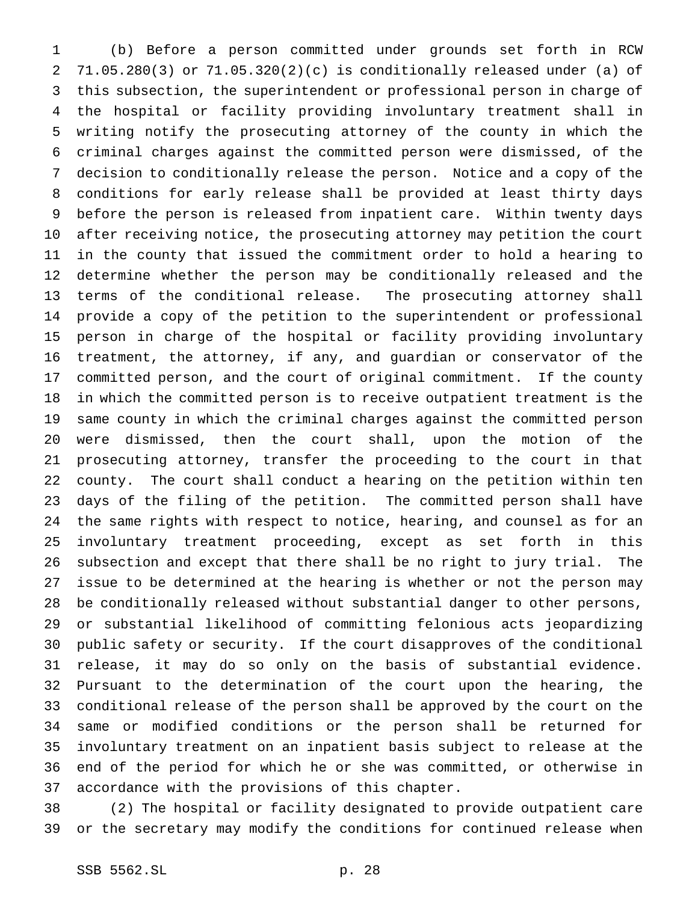(b) Before a person committed under grounds set forth in RCW 71.05.280(3) or 71.05.320(2)(c) is conditionally released under (a) of this subsection, the superintendent or professional person in charge of the hospital or facility providing involuntary treatment shall in writing notify the prosecuting attorney of the county in which the criminal charges against the committed person were dismissed, of the decision to conditionally release the person. Notice and a copy of the conditions for early release shall be provided at least thirty days before the person is released from inpatient care. Within twenty days after receiving notice, the prosecuting attorney may petition the court in the county that issued the commitment order to hold a hearing to determine whether the person may be conditionally released and the terms of the conditional release. The prosecuting attorney shall provide a copy of the petition to the superintendent or professional person in charge of the hospital or facility providing involuntary treatment, the attorney, if any, and guardian or conservator of the committed person, and the court of original commitment. If the county in which the committed person is to receive outpatient treatment is the same county in which the criminal charges against the committed person were dismissed, then the court shall, upon the motion of the prosecuting attorney, transfer the proceeding to the court in that county. The court shall conduct a hearing on the petition within ten days of the filing of the petition. The committed person shall have the same rights with respect to notice, hearing, and counsel as for an involuntary treatment proceeding, except as set forth in this subsection and except that there shall be no right to jury trial. The issue to be determined at the hearing is whether or not the person may be conditionally released without substantial danger to other persons, or substantial likelihood of committing felonious acts jeopardizing public safety or security. If the court disapproves of the conditional release, it may do so only on the basis of substantial evidence. Pursuant to the determination of the court upon the hearing, the conditional release of the person shall be approved by the court on the same or modified conditions or the person shall be returned for involuntary treatment on an inpatient basis subject to release at the end of the period for which he or she was committed, or otherwise in accordance with the provisions of this chapter.

 (2) The hospital or facility designated to provide outpatient care or the secretary may modify the conditions for continued release when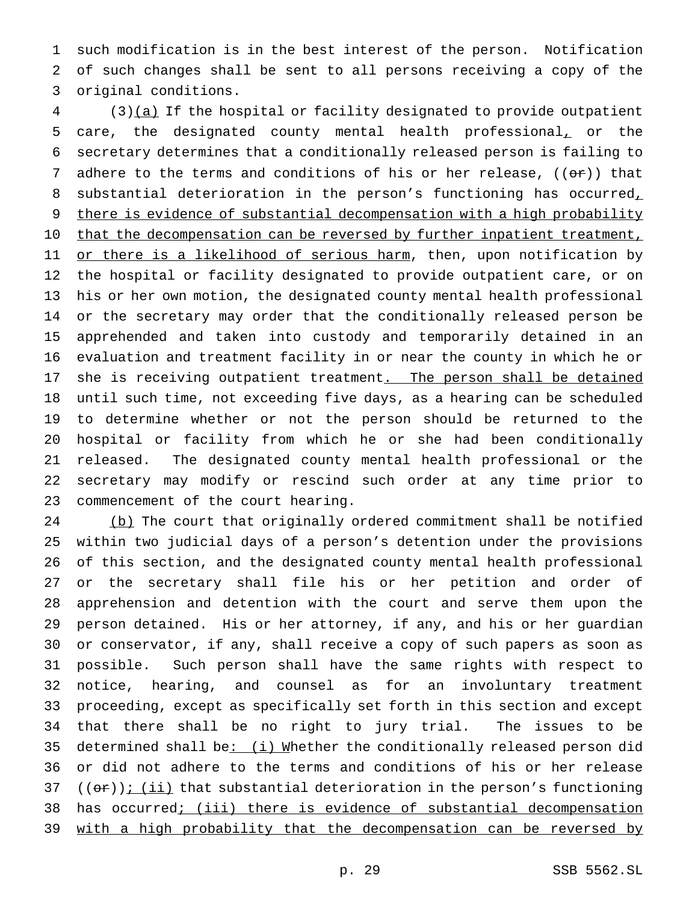such modification is in the best interest of the person. Notification of such changes shall be sent to all persons receiving a copy of the original conditions.

 (3)(a) If the hospital or facility designated to provide outpatient care, the designated county mental health professional, or the secretary determines that a conditionally released person is failing to 7 adhere to the terms and conditions of his or her release,  $((e\hat{r}))$  that 8 substantial deterioration in the person's functioning has occurred, 9 there is evidence of substantial decompensation with a high probability 10 that the decompensation can be reversed by further inpatient treatment, 11 or there is a likelihood of serious harm, then, upon notification by the hospital or facility designated to provide outpatient care, or on his or her own motion, the designated county mental health professional or the secretary may order that the conditionally released person be apprehended and taken into custody and temporarily detained in an evaluation and treatment facility in or near the county in which he or 17 she is receiving outpatient treatment. The person shall be detained until such time, not exceeding five days, as a hearing can be scheduled to determine whether or not the person should be returned to the hospital or facility from which he or she had been conditionally released. The designated county mental health professional or the secretary may modify or rescind such order at any time prior to commencement of the court hearing.

 (b) The court that originally ordered commitment shall be notified within two judicial days of a person's detention under the provisions of this section, and the designated county mental health professional or the secretary shall file his or her petition and order of apprehension and detention with the court and serve them upon the person detained. His or her attorney, if any, and his or her guardian or conservator, if any, shall receive a copy of such papers as soon as possible. Such person shall have the same rights with respect to notice, hearing, and counsel as for an involuntary treatment proceeding, except as specifically set forth in this section and except that there shall be no right to jury trial. The issues to be determined shall be: (i) Whether the conditionally released person did or did not adhere to the terms and conditions of his or her release 37 (( $\Theta$ )); (ii) that substantial deterioration in the person's functioning has occurred; (iii) there is evidence of substantial decompensation with a high probability that the decompensation can be reversed by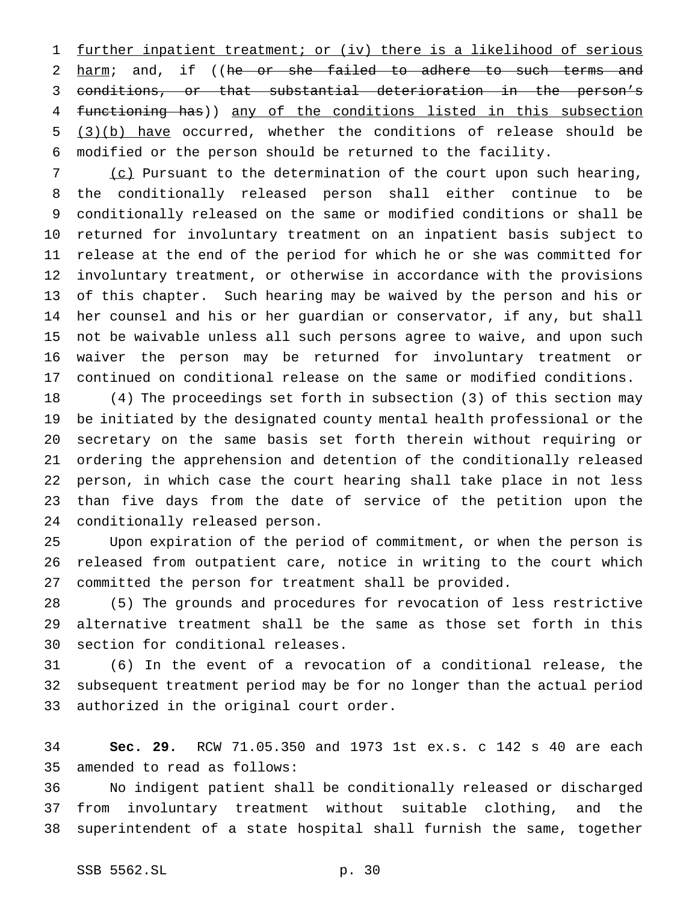further inpatient treatment; or (iv) there is a likelihood of serious 2 harm; and, if ((he or she failed to adhere to such terms and conditions, or that substantial deterioration in the person's functioning has)) any of the conditions listed in this subsection (3)(b) have occurred, whether the conditions of release should be modified or the person should be returned to the facility.

7 (c) Pursuant to the determination of the court upon such hearing, the conditionally released person shall either continue to be conditionally released on the same or modified conditions or shall be returned for involuntary treatment on an inpatient basis subject to release at the end of the period for which he or she was committed for involuntary treatment, or otherwise in accordance with the provisions of this chapter. Such hearing may be waived by the person and his or her counsel and his or her guardian or conservator, if any, but shall not be waivable unless all such persons agree to waive, and upon such waiver the person may be returned for involuntary treatment or continued on conditional release on the same or modified conditions.

 (4) The proceedings set forth in subsection (3) of this section may be initiated by the designated county mental health professional or the secretary on the same basis set forth therein without requiring or ordering the apprehension and detention of the conditionally released person, in which case the court hearing shall take place in not less than five days from the date of service of the petition upon the conditionally released person.

 Upon expiration of the period of commitment, or when the person is released from outpatient care, notice in writing to the court which committed the person for treatment shall be provided.

 (5) The grounds and procedures for revocation of less restrictive alternative treatment shall be the same as those set forth in this section for conditional releases.

 (6) In the event of a revocation of a conditional release, the subsequent treatment period may be for no longer than the actual period authorized in the original court order.

 **Sec. 29.** RCW 71.05.350 and 1973 1st ex.s. c 142 s 40 are each amended to read as follows:

 No indigent patient shall be conditionally released or discharged from involuntary treatment without suitable clothing, and the superintendent of a state hospital shall furnish the same, together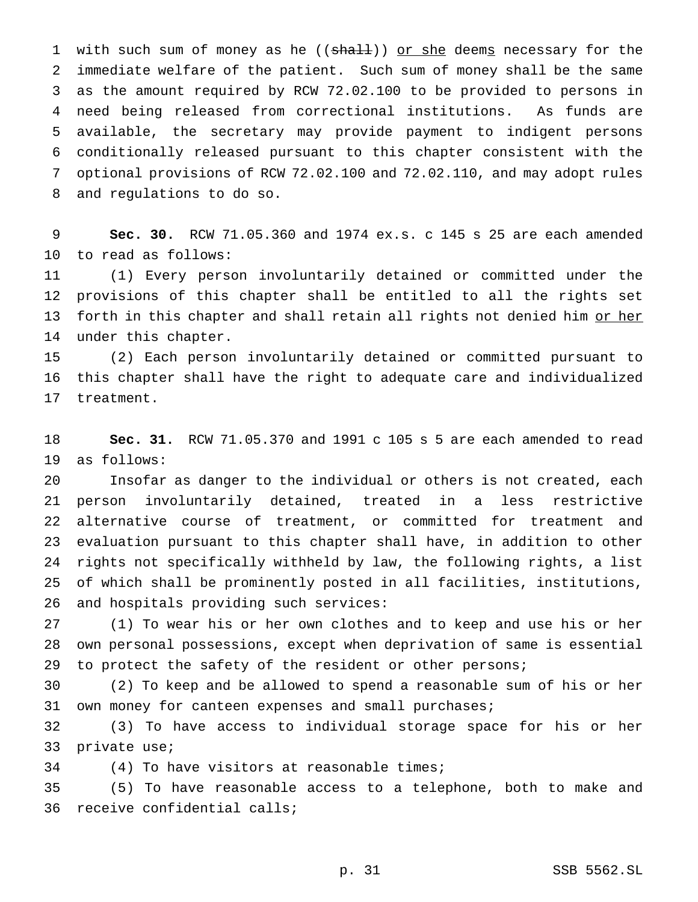1 with such sum of money as he ((shall)) or she deems necessary for the immediate welfare of the patient. Such sum of money shall be the same as the amount required by RCW 72.02.100 to be provided to persons in need being released from correctional institutions. As funds are available, the secretary may provide payment to indigent persons conditionally released pursuant to this chapter consistent with the optional provisions of RCW 72.02.100 and 72.02.110, and may adopt rules and regulations to do so.

 **Sec. 30.** RCW 71.05.360 and 1974 ex.s. c 145 s 25 are each amended to read as follows:

 (1) Every person involuntarily detained or committed under the provisions of this chapter shall be entitled to all the rights set 13 forth in this chapter and shall retain all rights not denied him or her under this chapter.

 (2) Each person involuntarily detained or committed pursuant to this chapter shall have the right to adequate care and individualized treatment.

 **Sec. 31.** RCW 71.05.370 and 1991 c 105 s 5 are each amended to read as follows:

 Insofar as danger to the individual or others is not created, each person involuntarily detained, treated in a less restrictive alternative course of treatment, or committed for treatment and evaluation pursuant to this chapter shall have, in addition to other rights not specifically withheld by law, the following rights, a list of which shall be prominently posted in all facilities, institutions, and hospitals providing such services:

 (1) To wear his or her own clothes and to keep and use his or her own personal possessions, except when deprivation of same is essential to protect the safety of the resident or other persons;

 (2) To keep and be allowed to spend a reasonable sum of his or her own money for canteen expenses and small purchases;

 (3) To have access to individual storage space for his or her private use;

(4) To have visitors at reasonable times;

 (5) To have reasonable access to a telephone, both to make and receive confidential calls;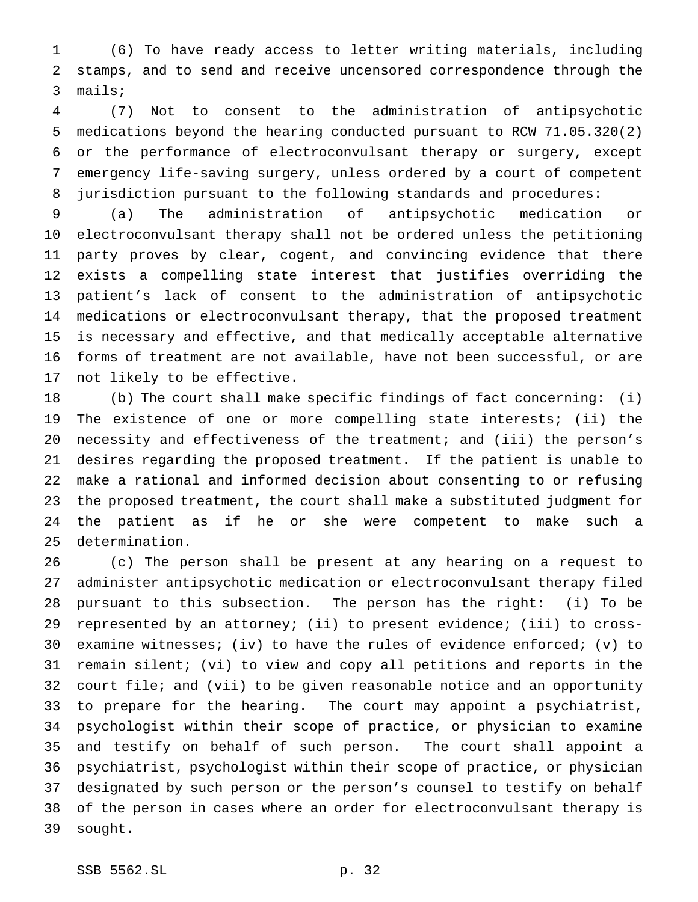(6) To have ready access to letter writing materials, including stamps, and to send and receive uncensored correspondence through the mails;

 (7) Not to consent to the administration of antipsychotic medications beyond the hearing conducted pursuant to RCW 71.05.320(2) or the performance of electroconvulsant therapy or surgery, except emergency life-saving surgery, unless ordered by a court of competent jurisdiction pursuant to the following standards and procedures:

 (a) The administration of antipsychotic medication or electroconvulsant therapy shall not be ordered unless the petitioning party proves by clear, cogent, and convincing evidence that there exists a compelling state interest that justifies overriding the patient's lack of consent to the administration of antipsychotic medications or electroconvulsant therapy, that the proposed treatment is necessary and effective, and that medically acceptable alternative forms of treatment are not available, have not been successful, or are not likely to be effective.

 (b) The court shall make specific findings of fact concerning: (i) The existence of one or more compelling state interests; (ii) the necessity and effectiveness of the treatment; and (iii) the person's desires regarding the proposed treatment. If the patient is unable to make a rational and informed decision about consenting to or refusing the proposed treatment, the court shall make a substituted judgment for the patient as if he or she were competent to make such a determination.

 (c) The person shall be present at any hearing on a request to administer antipsychotic medication or electroconvulsant therapy filed pursuant to this subsection. The person has the right: (i) To be represented by an attorney; (ii) to present evidence; (iii) to cross- examine witnesses; (iv) to have the rules of evidence enforced; (v) to remain silent; (vi) to view and copy all petitions and reports in the court file; and (vii) to be given reasonable notice and an opportunity to prepare for the hearing. The court may appoint a psychiatrist, psychologist within their scope of practice, or physician to examine and testify on behalf of such person. The court shall appoint a psychiatrist, psychologist within their scope of practice, or physician designated by such person or the person's counsel to testify on behalf of the person in cases where an order for electroconvulsant therapy is sought.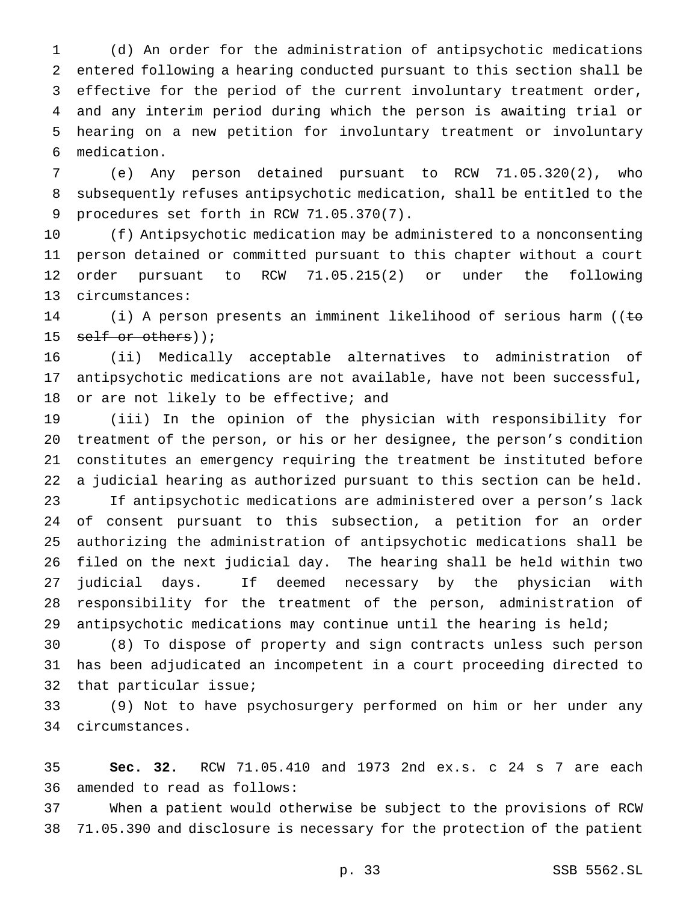(d) An order for the administration of antipsychotic medications entered following a hearing conducted pursuant to this section shall be effective for the period of the current involuntary treatment order, and any interim period during which the person is awaiting trial or hearing on a new petition for involuntary treatment or involuntary medication.

 (e) Any person detained pursuant to RCW 71.05.320(2), who subsequently refuses antipsychotic medication, shall be entitled to the procedures set forth in RCW 71.05.370(7).

 (f) Antipsychotic medication may be administered to a nonconsenting person detained or committed pursuant to this chapter without a court order pursuant to RCW 71.05.215(2) or under the following circumstances:

14 (i) A person presents an imminent likelihood of serious harm ((to 15 self or others));

 (ii) Medically acceptable alternatives to administration of antipsychotic medications are not available, have not been successful, 18 or are not likely to be effective; and

 (iii) In the opinion of the physician with responsibility for treatment of the person, or his or her designee, the person's condition constitutes an emergency requiring the treatment be instituted before a judicial hearing as authorized pursuant to this section can be held. If antipsychotic medications are administered over a person's lack of consent pursuant to this subsection, a petition for an order authorizing the administration of antipsychotic medications shall be filed on the next judicial day. The hearing shall be held within two judicial days. If deemed necessary by the physician with responsibility for the treatment of the person, administration of antipsychotic medications may continue until the hearing is held;

 (8) To dispose of property and sign contracts unless such person has been adjudicated an incompetent in a court proceeding directed to that particular issue;

 (9) Not to have psychosurgery performed on him or her under any circumstances.

 **Sec. 32.** RCW 71.05.410 and 1973 2nd ex.s. c 24 s 7 are each amended to read as follows:

 When a patient would otherwise be subject to the provisions of RCW 71.05.390 and disclosure is necessary for the protection of the patient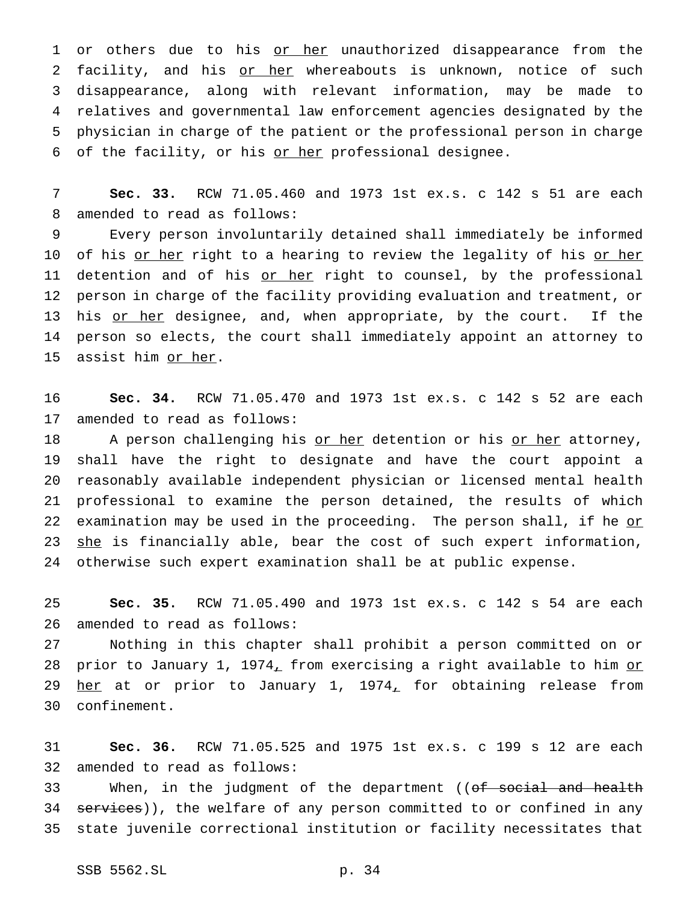1 or others due to his or her unauthorized disappearance from the 2 facility, and his or her whereabouts is unknown, notice of such 3 disappearance, along with relevant information, may be made to 4 relatives and governmental law enforcement agencies designated by the 5 physician in charge of the patient or the professional person in charge 6 of the facility, or his or her professional designee.

7 **Sec. 33.** RCW 71.05.460 and 1973 1st ex.s. c 142 s 51 are each 8 amended to read as follows:

9 Every person involuntarily detained shall immediately be informed 10 of his <u>or her</u> right to a hearing to review the legality of his <u>or her</u> 11 detention and of his or her right to counsel, by the professional 12 person in charge of the facility providing evaluation and treatment, or 13 his or her designee, and, when appropriate, by the court. If the 14 person so elects, the court shall immediately appoint an attorney to 15 assist him or her.

16 **Sec. 34.** RCW 71.05.470 and 1973 1st ex.s. c 142 s 52 are each 17 amended to read as follows:

18 A person challenging his or her detention or his or her attorney, 19 shall have the right to designate and have the court appoint a 20 reasonably available independent physician or licensed mental health 21 professional to examine the person detained, the results of which 22 examination may be used in the proceeding. The person shall, if he  $o r$ 23 she is financially able, bear the cost of such expert information, 24 otherwise such expert examination shall be at public expense.

25 **Sec. 35.** RCW 71.05.490 and 1973 1st ex.s. c 142 s 54 are each 26 amended to read as follows:

 Nothing in this chapter shall prohibit a person committed on or 28 prior to January 1, 1974, from exercising a right available to him or  $her at or prior to January 1, 1974<sub>L</sub> for obtaining release from$ </u> confinement.

31 **Sec. 36.** RCW 71.05.525 and 1975 1st ex.s. c 199 s 12 are each 32 amended to read as follows:

33 When, in the judgment of the department ((of social and health 34 services)), the welfare of any person committed to or confined in any 35 state juvenile correctional institution or facility necessitates that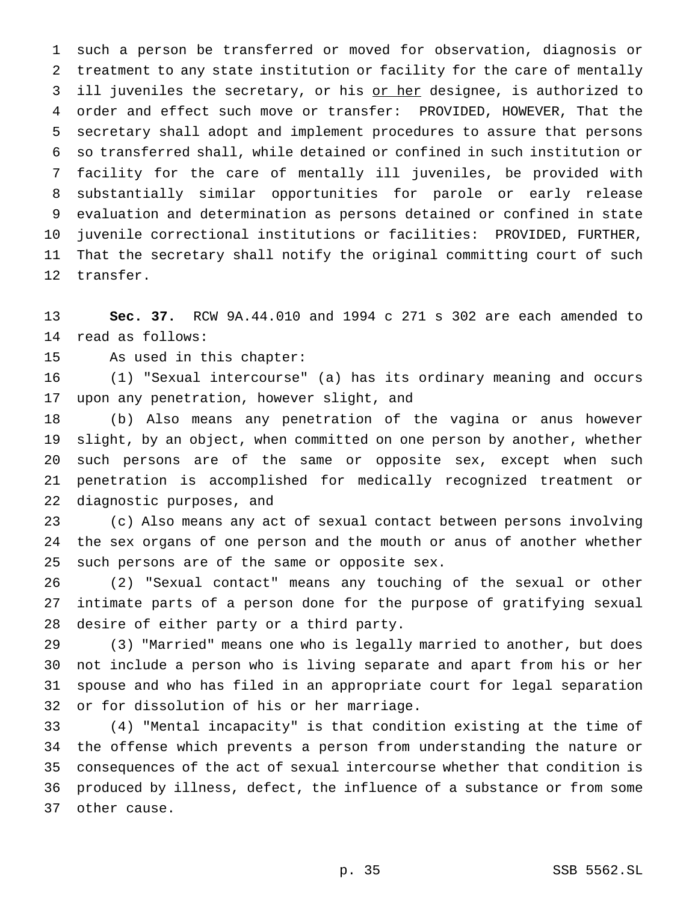such a person be transferred or moved for observation, diagnosis or treatment to any state institution or facility for the care of mentally 3 ill juveniles the secretary, or his or her designee, is authorized to order and effect such move or transfer: PROVIDED, HOWEVER, That the secretary shall adopt and implement procedures to assure that persons so transferred shall, while detained or confined in such institution or facility for the care of mentally ill juveniles, be provided with substantially similar opportunities for parole or early release evaluation and determination as persons detained or confined in state juvenile correctional institutions or facilities: PROVIDED, FURTHER, That the secretary shall notify the original committing court of such transfer.

 **Sec. 37.** RCW 9A.44.010 and 1994 c 271 s 302 are each amended to read as follows:

As used in this chapter:

 (1) "Sexual intercourse" (a) has its ordinary meaning and occurs upon any penetration, however slight, and

 (b) Also means any penetration of the vagina or anus however slight, by an object, when committed on one person by another, whether such persons are of the same or opposite sex, except when such penetration is accomplished for medically recognized treatment or diagnostic purposes, and

 (c) Also means any act of sexual contact between persons involving the sex organs of one person and the mouth or anus of another whether such persons are of the same or opposite sex.

 (2) "Sexual contact" means any touching of the sexual or other intimate parts of a person done for the purpose of gratifying sexual desire of either party or a third party.

 (3) "Married" means one who is legally married to another, but does not include a person who is living separate and apart from his or her spouse and who has filed in an appropriate court for legal separation or for dissolution of his or her marriage.

 (4) "Mental incapacity" is that condition existing at the time of the offense which prevents a person from understanding the nature or consequences of the act of sexual intercourse whether that condition is produced by illness, defect, the influence of a substance or from some other cause.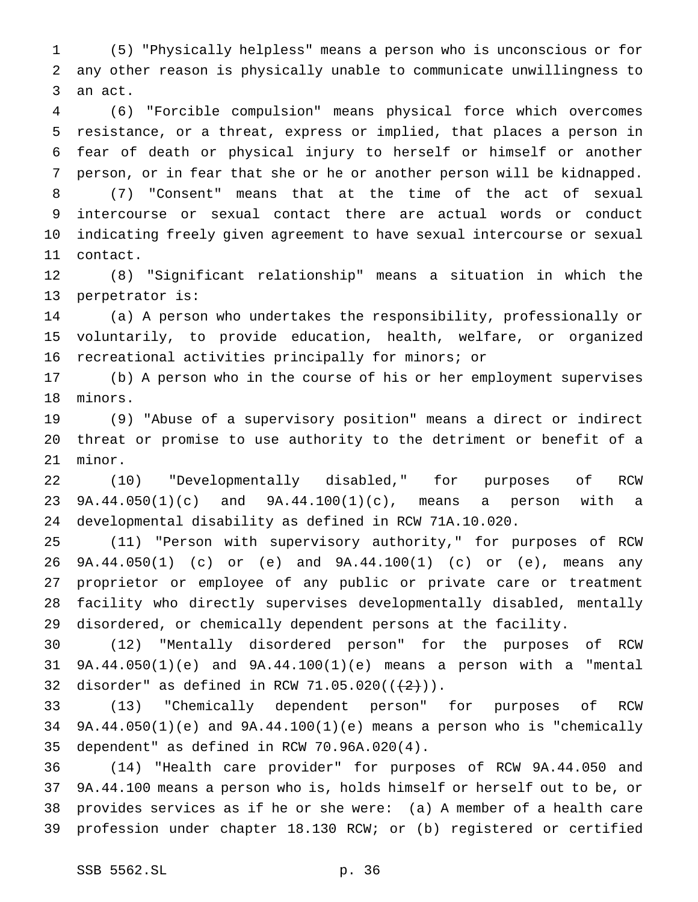(5) "Physically helpless" means a person who is unconscious or for any other reason is physically unable to communicate unwillingness to an act.

 (6) "Forcible compulsion" means physical force which overcomes resistance, or a threat, express or implied, that places a person in fear of death or physical injury to herself or himself or another person, or in fear that she or he or another person will be kidnapped. (7) "Consent" means that at the time of the act of sexual intercourse or sexual contact there are actual words or conduct indicating freely given agreement to have sexual intercourse or sexual contact.

 (8) "Significant relationship" means a situation in which the perpetrator is:

 (a) A person who undertakes the responsibility, professionally or voluntarily, to provide education, health, welfare, or organized recreational activities principally for minors; or

 (b) A person who in the course of his or her employment supervises minors.

 (9) "Abuse of a supervisory position" means a direct or indirect threat or promise to use authority to the detriment or benefit of a minor.

 (10) "Developmentally disabled," for purposes of RCW 9A.44.050(1)(c) and 9A.44.100(1)(c), means a person with a developmental disability as defined in RCW 71A.10.020.

 (11) "Person with supervisory authority," for purposes of RCW 9A.44.050(1) (c) or (e) and 9A.44.100(1) (c) or (e), means any proprietor or employee of any public or private care or treatment facility who directly supervises developmentally disabled, mentally disordered, or chemically dependent persons at the facility.

 (12) "Mentally disordered person" for the purposes of RCW 9A.44.050(1)(e) and 9A.44.100(1)(e) means a person with a "mental 32 disorder" as defined in RCW 71.05.020( $(\frac{2}{2})$ ).

 (13) "Chemically dependent person" for purposes of RCW 9A.44.050(1)(e) and 9A.44.100(1)(e) means a person who is "chemically dependent" as defined in RCW 70.96A.020(4).

 (14) "Health care provider" for purposes of RCW 9A.44.050 and 9A.44.100 means a person who is, holds himself or herself out to be, or provides services as if he or she were: (a) A member of a health care profession under chapter 18.130 RCW; or (b) registered or certified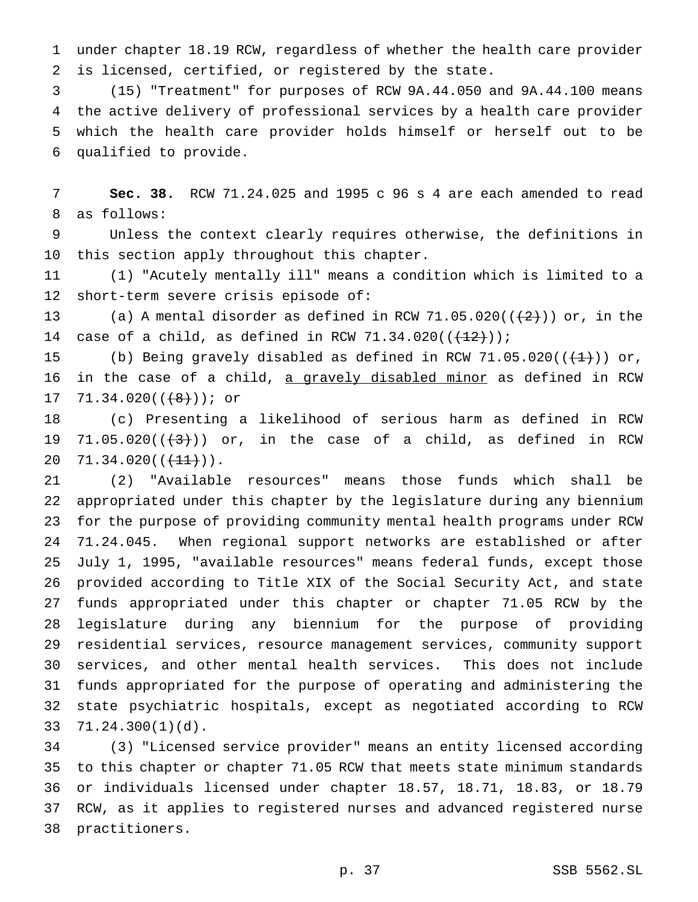under chapter 18.19 RCW, regardless of whether the health care provider is licensed, certified, or registered by the state.

 (15) "Treatment" for purposes of RCW 9A.44.050 and 9A.44.100 means the active delivery of professional services by a health care provider which the health care provider holds himself or herself out to be qualified to provide.

 **Sec. 38.** RCW 71.24.025 and 1995 c 96 s 4 are each amended to read as follows:

 Unless the context clearly requires otherwise, the definitions in this section apply throughout this chapter.

 (1) "Acutely mentally ill" means a condition which is limited to a short-term severe crisis episode of:

13 (a) A mental disorder as defined in RCW 71.05.020( $(\frac{2}{2})$ ) or, in the 14 case of a child, as defined in RCW  $71.34.020((\frac{12}{12}))$ ;

15 (b) Being gravely disabled as defined in RCW  $71.05.020((\text{+1})^2)$  or, 16 in the case of a child, a gravely disabled minor as defined in RCW  $71.34.020((\text{+8})$ ); or

 (c) Presenting a likelihood of serious harm as defined in RCW 19 71.05.020 $((+3+))$  or, in the case of a child, as defined in RCW 20  $71.34.020((\overline{+11})).$ 

 (2) "Available resources" means those funds which shall be appropriated under this chapter by the legislature during any biennium for the purpose of providing community mental health programs under RCW 71.24.045. When regional support networks are established or after July 1, 1995, "available resources" means federal funds, except those provided according to Title XIX of the Social Security Act, and state funds appropriated under this chapter or chapter 71.05 RCW by the legislature during any biennium for the purpose of providing residential services, resource management services, community support services, and other mental health services. This does not include funds appropriated for the purpose of operating and administering the state psychiatric hospitals, except as negotiated according to RCW 71.24.300(1)(d).

 (3) "Licensed service provider" means an entity licensed according to this chapter or chapter 71.05 RCW that meets state minimum standards or individuals licensed under chapter 18.57, 18.71, 18.83, or 18.79 RCW, as it applies to registered nurses and advanced registered nurse practitioners.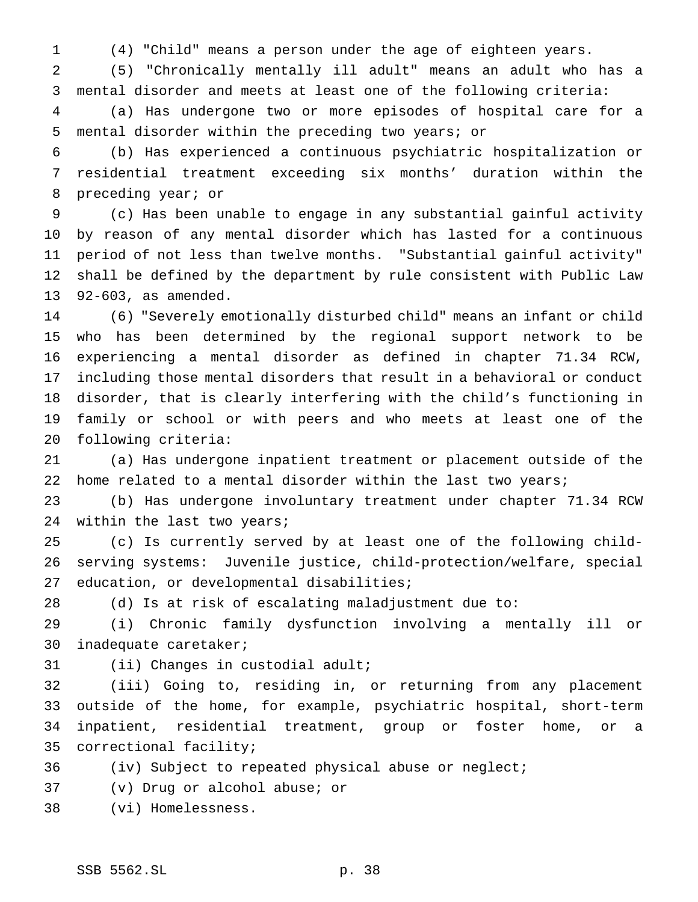(4) "Child" means a person under the age of eighteen years.

 (5) "Chronically mentally ill adult" means an adult who has a mental disorder and meets at least one of the following criteria:

 (a) Has undergone two or more episodes of hospital care for a mental disorder within the preceding two years; or

 (b) Has experienced a continuous psychiatric hospitalization or residential treatment exceeding six months' duration within the preceding year; or

 (c) Has been unable to engage in any substantial gainful activity by reason of any mental disorder which has lasted for a continuous period of not less than twelve months. "Substantial gainful activity" shall be defined by the department by rule consistent with Public Law 92-603, as amended.

 (6) "Severely emotionally disturbed child" means an infant or child who has been determined by the regional support network to be experiencing a mental disorder as defined in chapter 71.34 RCW, including those mental disorders that result in a behavioral or conduct disorder, that is clearly interfering with the child's functioning in family or school or with peers and who meets at least one of the following criteria:

 (a) Has undergone inpatient treatment or placement outside of the 22 home related to a mental disorder within the last two years;

 (b) Has undergone involuntary treatment under chapter 71.34 RCW within the last two years;

 (c) Is currently served by at least one of the following child- serving systems: Juvenile justice, child-protection/welfare, special education, or developmental disabilities;

(d) Is at risk of escalating maladjustment due to:

 (i) Chronic family dysfunction involving a mentally ill or inadequate caretaker;

(ii) Changes in custodial adult;

 (iii) Going to, residing in, or returning from any placement outside of the home, for example, psychiatric hospital, short-term inpatient, residential treatment, group or foster home, or a correctional facility;

(iv) Subject to repeated physical abuse or neglect;

- (v) Drug or alcohol abuse; or
- (vi) Homelessness.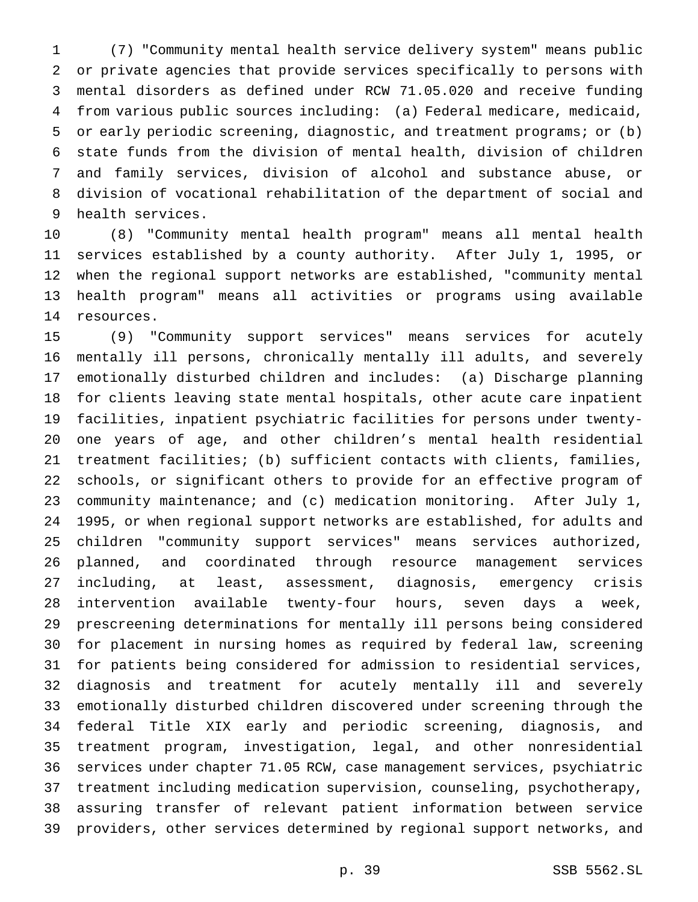(7) "Community mental health service delivery system" means public or private agencies that provide services specifically to persons with mental disorders as defined under RCW 71.05.020 and receive funding from various public sources including: (a) Federal medicare, medicaid, or early periodic screening, diagnostic, and treatment programs; or (b) state funds from the division of mental health, division of children and family services, division of alcohol and substance abuse, or division of vocational rehabilitation of the department of social and health services.

 (8) "Community mental health program" means all mental health services established by a county authority. After July 1, 1995, or when the regional support networks are established, "community mental health program" means all activities or programs using available resources.

 (9) "Community support services" means services for acutely mentally ill persons, chronically mentally ill adults, and severely emotionally disturbed children and includes: (a) Discharge planning for clients leaving state mental hospitals, other acute care inpatient facilities, inpatient psychiatric facilities for persons under twenty- one years of age, and other children's mental health residential treatment facilities; (b) sufficient contacts with clients, families, schools, or significant others to provide for an effective program of community maintenance; and (c) medication monitoring. After July 1, 1995, or when regional support networks are established, for adults and children "community support services" means services authorized, planned, and coordinated through resource management services including, at least, assessment, diagnosis, emergency crisis intervention available twenty-four hours, seven days a week, prescreening determinations for mentally ill persons being considered for placement in nursing homes as required by federal law, screening for patients being considered for admission to residential services, diagnosis and treatment for acutely mentally ill and severely emotionally disturbed children discovered under screening through the federal Title XIX early and periodic screening, diagnosis, and treatment program, investigation, legal, and other nonresidential services under chapter 71.05 RCW, case management services, psychiatric treatment including medication supervision, counseling, psychotherapy, assuring transfer of relevant patient information between service providers, other services determined by regional support networks, and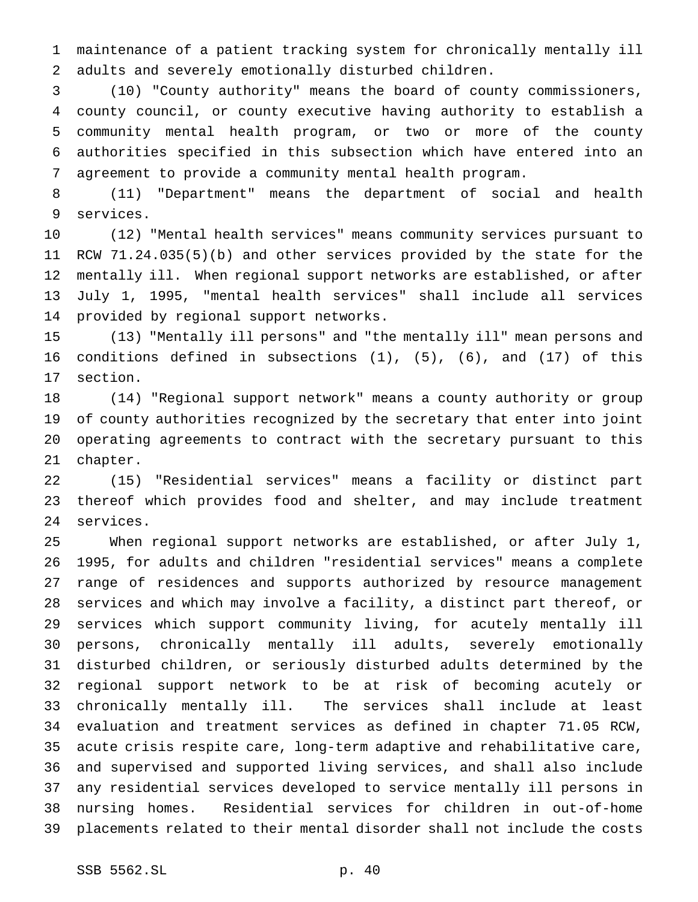maintenance of a patient tracking system for chronically mentally ill adults and severely emotionally disturbed children.

 (10) "County authority" means the board of county commissioners, county council, or county executive having authority to establish a community mental health program, or two or more of the county authorities specified in this subsection which have entered into an agreement to provide a community mental health program.

 (11) "Department" means the department of social and health services.

 (12) "Mental health services" means community services pursuant to RCW 71.24.035(5)(b) and other services provided by the state for the mentally ill. When regional support networks are established, or after July 1, 1995, "mental health services" shall include all services provided by regional support networks.

 (13) "Mentally ill persons" and "the mentally ill" mean persons and conditions defined in subsections (1), (5), (6), and (17) of this section.

 (14) "Regional support network" means a county authority or group of county authorities recognized by the secretary that enter into joint operating agreements to contract with the secretary pursuant to this chapter.

 (15) "Residential services" means a facility or distinct part thereof which provides food and shelter, and may include treatment services.

 When regional support networks are established, or after July 1, 1995, for adults and children "residential services" means a complete range of residences and supports authorized by resource management services and which may involve a facility, a distinct part thereof, or services which support community living, for acutely mentally ill persons, chronically mentally ill adults, severely emotionally disturbed children, or seriously disturbed adults determined by the regional support network to be at risk of becoming acutely or chronically mentally ill. The services shall include at least evaluation and treatment services as defined in chapter 71.05 RCW, acute crisis respite care, long-term adaptive and rehabilitative care, and supervised and supported living services, and shall also include any residential services developed to service mentally ill persons in nursing homes. Residential services for children in out-of-home placements related to their mental disorder shall not include the costs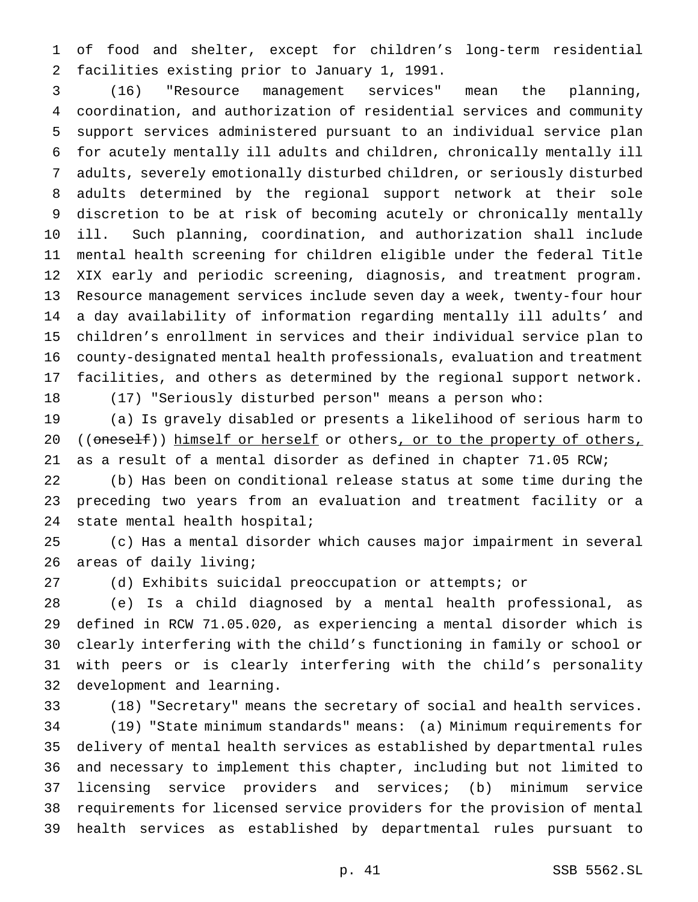of food and shelter, except for children's long-term residential facilities existing prior to January 1, 1991.

 (16) "Resource management services" mean the planning, coordination, and authorization of residential services and community support services administered pursuant to an individual service plan for acutely mentally ill adults and children, chronically mentally ill adults, severely emotionally disturbed children, or seriously disturbed adults determined by the regional support network at their sole discretion to be at risk of becoming acutely or chronically mentally ill. Such planning, coordination, and authorization shall include mental health screening for children eligible under the federal Title XIX early and periodic screening, diagnosis, and treatment program. Resource management services include seven day a week, twenty-four hour a day availability of information regarding mentally ill adults' and children's enrollment in services and their individual service plan to county-designated mental health professionals, evaluation and treatment facilities, and others as determined by the regional support network.

(17) "Seriously disturbed person" means a person who:

 (a) Is gravely disabled or presents a likelihood of serious harm to 20 ((oneself)) himself or herself or others, or to the property of others, as a result of a mental disorder as defined in chapter 71.05 RCW;

 (b) Has been on conditional release status at some time during the preceding two years from an evaluation and treatment facility or a state mental health hospital;

 (c) Has a mental disorder which causes major impairment in several areas of daily living;

(d) Exhibits suicidal preoccupation or attempts; or

 (e) Is a child diagnosed by a mental health professional, as defined in RCW 71.05.020, as experiencing a mental disorder which is clearly interfering with the child's functioning in family or school or with peers or is clearly interfering with the child's personality development and learning.

 (18) "Secretary" means the secretary of social and health services. (19) "State minimum standards" means: (a) Minimum requirements for delivery of mental health services as established by departmental rules and necessary to implement this chapter, including but not limited to licensing service providers and services; (b) minimum service requirements for licensed service providers for the provision of mental health services as established by departmental rules pursuant to